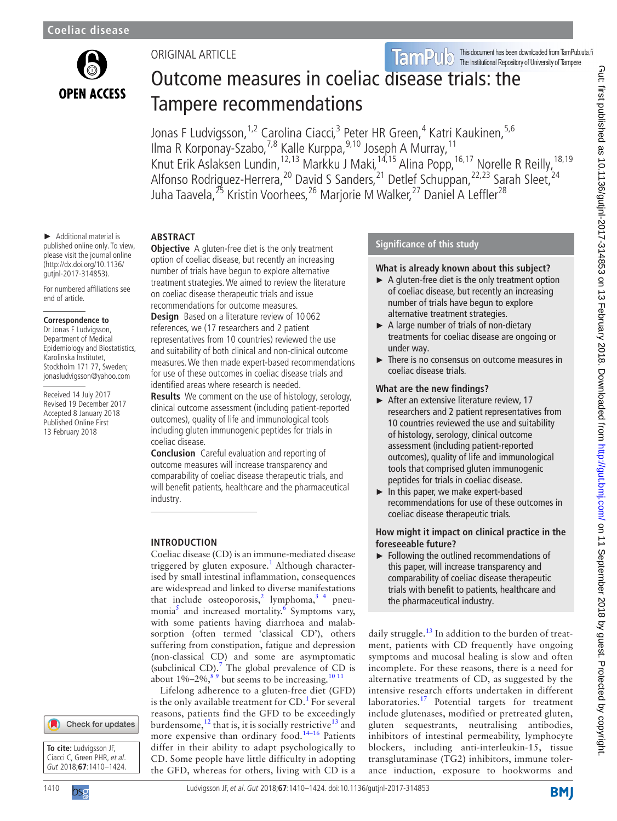

ORIGINAL ARTICLE

# TamPUD This document has been downloaded from TamPub.uta.fi Outcome measures in coeliac disease trials: the Tampere recommendations

Jonas F Ludvigsson, <sup>1,2</sup> Carolina Ciacci, <sup>3</sup> Peter HR Green, <sup>4</sup> Katri Kaukinen, <sup>5,6</sup> Ilma R Korponay-Szabo, <sup>7,8</sup> Kalle Kurppa, <sup>9,10</sup> Joseph A Murray, <sup>11</sup> Knut Erik Aslaksen Lundin, <sup>12,13</sup> Markku J Maki, <sup>14,15</sup> Alina Popp, <sup>16,17</sup> Norelle R Reilly, <sup>18,19</sup> Alfonso Rodriguez-Herrera,<sup>20</sup> David S Sanders,<sup>21</sup> Detlef Schuppan,<sup>22,23</sup> Sarah Sleet,<sup>24</sup> Juha Taavela,<sup>25</sup> Kristin Voorhees,<sup>26</sup> Marjorie M Walker,<sup>27</sup> Daniel A Leffler<sup>28</sup>

# **Abstract**

**Objective** A gluten-free diet is the only treatment option of coeliac disease, but recently an increasing number of trials have begun to explore alternative treatment strategies. We aimed to review the literature on coeliac disease therapeutic trials and issue recommendations for outcome measures.

**Design** Based on a literature review of 10 062 references, we (17 researchers and 2 patient representatives from 10 countries) reviewed the use and suitability of both clinical and non-clinical outcome measures. We then made expert-based recommendations for use of these outcomes in coeliac disease trials and identified areas where research is needed.

**Results** We comment on the use of histology, serology, clinical outcome assessment (including patient-reported outcomes), quality of life and immunological tools including gluten immunogenic peptides for trials in coeliac disease.

**Conclusion** Careful evaluation and reporting of outcome measures will increase transparency and comparability of coeliac disease therapeutic trials, and will benefit patients, healthcare and the pharmaceutical industry.

# **Introduction**

Coeliac disease (CD) is an immune-mediated disease triggered by gluten exposure.<sup>[1](#page-10-0)</sup> Although characterised by small intestinal inflammation, consequences are widespread and linked to diverse manifestations that include osteoporosis,<sup>[2](#page-10-1)</sup> lymphoma,<sup>34</sup> pneu-monia<sup>[5](#page-10-3)</sup> and increased mortality.<sup>6</sup> Symptoms vary, with some patients having diarrhoea and malabsorption (often termed 'classical CD'), others suffering from constipation, fatigue and depression (non-classical CD) and some are asymptomatic (subclinical CD). $<sup>7</sup>$  $<sup>7</sup>$  $<sup>7</sup>$  The global prevalence of CD is</sup> about  $1\% - 2\%$ ,  $8\%$  but seems to be increasing.<sup>10 11</sup>

Lifelong adherence to a gluten-free diet (GFD) is the only available treatment for  $CD.<sup>1</sup>$  $CD.<sup>1</sup>$  $CD.<sup>1</sup>$  For several reasons, patients find the GFD to be exceedingly burdensome,  $^{12}$  that is, it is socially restrictive  $^{13}$  and more expensive than ordinary food.<sup>14–16</sup> Patients differ in their ability to adapt psychologically to CD. Some people have little difficulty in adopting the GFD, whereas for others, living with CD is a

# **Significance of this study**

**What is already known about this subject?**

- $\blacktriangleright$  A gluten-free diet is the only treatment option of coeliac disease, but recently an increasing number of trials have begun to explore alternative treatment strategies.
- ► A large number of trials of non-dietary treatments for coeliac disease are ongoing or under way.
- ► There is no consensus on outcome measures in coeliac disease trials.

# **What are the new findings?**

- ► After an extensive literature review, 17 researchers and 2 patient representatives from 10 countries reviewed the use and suitability of histology, serology, clinical outcome assessment (including patient-reported outcomes), quality of life and immunological tools that comprised gluten immunogenic peptides for trials in coeliac disease.
- ► In this paper, we make expert-based recommendations for use of these outcomes in coeliac disease therapeutic trials.

### **How might it impact on clinical practice in the foreseeable future?**

► Following the outlined recommendations of this paper, will increase transparency and comparability of coeliac disease therapeutic trials with benefit to patients, healthcare and the pharmaceutical industry.

daily struggle. $^{13}$  In addition to the burden of treatment, patients with CD frequently have ongoing symptoms and mucosal healing is slow and often incomplete. For these reasons, there is a need for alternative treatments of CD, as suggested by the intensive research efforts undertaken in different laboratories.<sup>[17](#page-10-11)</sup> Potential targets for treatment include glutenases, modified or pretreated gluten, gluten sequestrants, neutralising antibodies, inhibitors of intestinal permeability, lymphocyte blockers, including anti-interleukin-15, tissue transglutaminase (TG2) inhibitors, immune tolerance induction, exposure to hookworms and

► Additional material is published online only. To view, please visit the journal online (http://dx.doi.org/10.1136/ gutjnl-2017-314853).

For numbered affiliations see end of article.

#### **Correspondence to**

Dr Jonas F Ludvigsson, Department of Medical Epidemiology and Biostatistics, Karolinska Institutet, Stockholm 171 77, Sweden; jonasludvigsson@yahoo.com

Received 14 July 2017 Revised 19 December 2017 Accepted 8 January 2018 Published Online First 13 February 2018





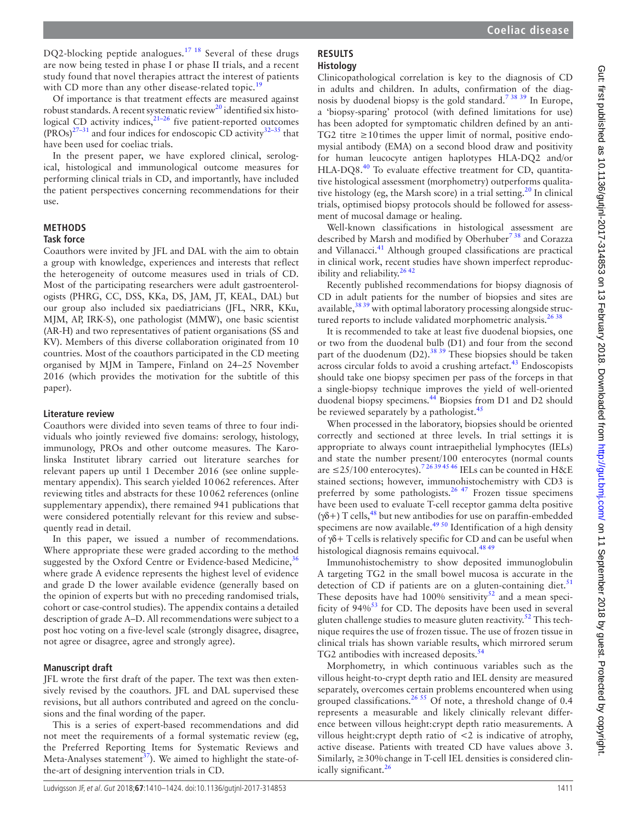DQ2-blocking peptide analogues.<sup>[17 18](#page-10-11)</sup> Several of these drugs are now being tested in phase I or phase II trials, and a recent study found that novel therapies attract the interest of patients with CD more than any other disease-related topic.<sup>1</sup>

Of importance is that treatment effects are measured against robust standards. A recent systematic review<sup>20</sup> identified six histological CD activity indices, $2^{1-26}$  five patient-reported outcomes  $(PROs)^{27-31}$  and four indices for endoscopic CD activity<sup>32-35</sup> that have been used for coeliac trials.

In the present paper, we have explored clinical, serological, histological and immunological outcome measures for performing clinical trials in CD, and importantly, have included the patient perspectives concerning recommendations for their use.

# **Methods**

# **Task force**

Coauthors were invited by JFL and DAL with the aim to obtain a group with knowledge, experiences and interests that reflect the heterogeneity of outcome measures used in trials of CD. Most of the participating researchers were adult gastroenterologists (PHRG, CC, DSS, KKa, DS, JAM, JT, KEAL, DAL) but our group also included six paediatricians (JFL, NRR, KKu, MJM, AP, IRK-S), one pathologist (MMW), one basic scientist (AR-H) and two representatives of patient organisations (SS and KV). Members of this diverse collaboration originated from 10 countries. Most of the coauthors participated in the CD meeting organised by MJM in Tampere, Finland on 24–25 November 2016 (which provides the motivation for the subtitle of this paper).

#### **Literature review**

Coauthors were divided into seven teams of three to four individuals who jointly reviewed five domains: serology, histology, immunology, PROs and other outcome measures. The Karolinska Institutet library carried out literature searches for relevant papers up until 1 December 2016 (see online [supple](https://dx.doi.org/10.1136/gutjnl-2017-314853)[mentary appendix](https://dx.doi.org/10.1136/gutjnl-2017-314853)). This search yielded 10062 references. After reviewing titles and abstracts for these 10062 references (online [supplementary appendix](https://dx.doi.org/10.1136/gutjnl-2017-314853)), there remained 941 publications that were considered potentially relevant for this review and subsequently read in detail.

In this paper, we issued a number of recommendations. Where appropriate these were graded according to the method suggested by the Oxford Centre or Evidence-based Medicine,<sup>[36](#page-11-0)</sup> where grade A evidence represents the highest level of evidence and grade D the lower available evidence (generally based on the opinion of experts but with no preceding randomised trials, cohort or case-control studies). The appendix contains a detailed description of grade A–D. All recommendations were subject to a post hoc voting on a five-level scale (strongly disagree, disagree, not agree or disagree, agree and strongly agree).

### **Manuscript draft**

JFL wrote the first draft of the paper. The text was then extensively revised by the coauthors. JFL and DAL supervised these revisions, but all authors contributed and agreed on the conclusions and the final wording of the paper.

This is a series of expert-based recommendations and did not meet the requirements of a formal systematic review (eg, the Preferred Reporting Items for Systematic Reviews and Meta-Analyses statement<sup>37</sup>). We aimed to highlight the state-ofthe-art of designing intervention trials in CD.

# **Histology**

Clinicopathological correlation is key to the diagnosis of CD in adults and children. In adults, confirmation of the diagnosis by duodenal biopsy is the gold standard.<sup>7 38 39</sup> In Europe, a 'biopsy-sparing' protocol (with defined limitations for use) has been adopted for symptomatic children defined by an anti-TG2 titre  $\geq 10$  times the upper limit of normal, positive endomysial antibody (EMA) on a second blood draw and positivity for human leucocyte antigen haplotypes HLA-DQ2 and/or HLA-DQ8.<sup>[40](#page-11-2)</sup> To evaluate effective treatment for CD, quantitative histological assessment (morphometry) outperforms qualita-tive histology (eg, the Marsh score) in a trial setting.<sup>[20](#page-10-13)</sup> In clinical trials, optimised biopsy protocols should be followed for assessment of mucosal damage or healing.

Well-known classifications in histological assessment are described by Marsh and modified by Oberhuber<sup>738</sup> and Corazza and Villanacci.<sup>41</sup> Although grouped classifications are practical in clinical work, recent studies have shown imperfect reproducibility and reliability. $2642$ 

Recently published recommendations for biopsy diagnosis of CD in adult patients for the number of biopsies and sites are available,<sup>[38 39](#page-11-4)</sup> with optimal laboratory processing alongside structured reports to include validated morphometric analysis.<sup>26,38</sup>

It is recommended to take at least five duodenal biopsies, one or two from the duodenal bulb (D1) and four from the second part of the duodenum (D2).<sup>[38 39](#page-11-4)</sup> These biopsies should be taken across circular folds to avoid a crushing artefact.<sup>43</sup> Endoscopists should take one biopsy specimen per pass of the forceps in that a single-biopsy technique improves the yield of well-oriented duodenal biopsy specimens.[44](#page-11-6) Biopsies from D1 and D2 should be reviewed separately by a pathologist.<sup>45</sup>

When processed in the laboratory, biopsies should be oriented correctly and sectioned at three levels. In trial settings it is appropriate to always count intraepithelial lymphocytes (IELs) and state the number present/100 enterocytes (normal counts are  $\leq$  25/100 enterocytes).<sup>726 39 45 46</sup> IELs can be counted in H&E stained sections; however, immunohistochemistry with CD3 is preferred by some pathologists.<sup>26 47</sup> Frozen tissue specimens have been used to evaluate T-cell receptor gamma delta positive (γδ+) T cells,<sup>48</sup> but new antibodies for use on paraffin-embedded specimens are now available.<sup>49 50</sup> Identification of a high density of  $\gamma\delta$ + T cells is relatively specific for CD and can be useful when histological diagnosis remains equivocal.<sup>[48 49](#page-11-8)</sup>

Immunohistochemistry to show deposited immunoglobulin A targeting TG2 in the small bowel mucosa is accurate in the detection of CD if patients are on a gluten-containing diet. $51$ These deposits have had  $100\%$  sensitivity<sup>[52](#page-11-11)</sup> and a mean specificity of  $94\%^{53}$  for CD. The deposits have been used in several gluten challenge studies to measure gluten reactivity.<sup>[52](#page-11-11)</sup> This technique requires the use of frozen tissue. The use of frozen tissue in clinical trials has shown variable results, which mirrored serum TG2 antibodies with increased deposits.<sup>5</sup>

Morphometry, in which continuous variables such as the villous height-to-crypt depth ratio and IEL density are measured separately, overcomes certain problems encountered when using grouped classifications.<sup>[26 55](#page-10-17)</sup> Of note, a threshold change of 0.4 represents a measurable and likely clinically relevant difference between villous height:crypt depth ratio measurements. A villous height:crypt depth ratio of <2 is indicative of atrophy, active disease. Patients with treated CD have values above 3. Similarly,  $\geq$  30% change in T-cell IEL densities is considered clinically significant. $^{26}$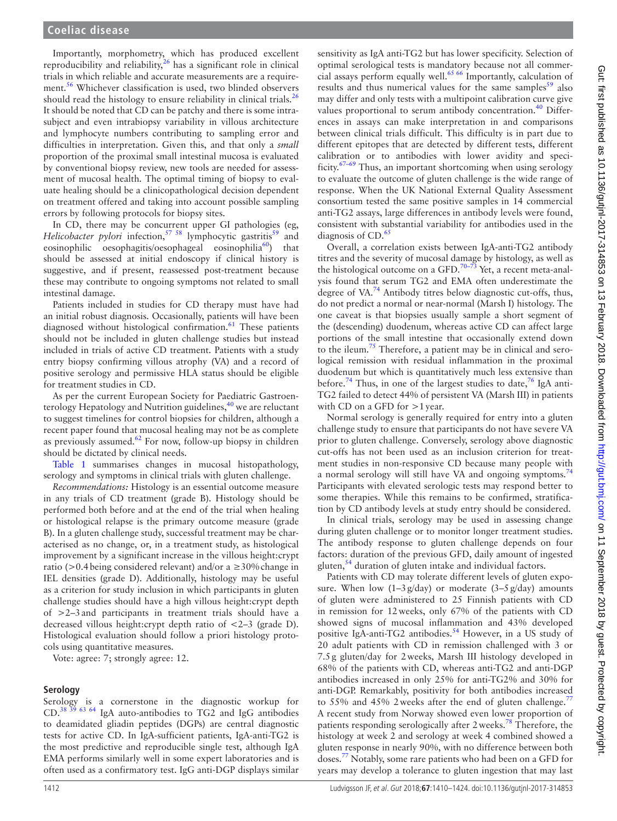Importantly, morphometry, which has produced excellent reproducibility and reliability, $^{26}$  $^{26}$  $^{26}$  has a significant role in clinical trials in which reliable and accurate measurements are a requirement.<sup>56</sup> Whichever classification is used, two blinded observers should read the histology to ensure reliability in clinical trials. $^{26}$  $^{26}$  $^{26}$ It should be noted that CD can be patchy and there is some intrasubject and even intrabiopsy variability in villous architecture and lymphocyte numbers contributing to sampling error and difficulties in interpretation. Given this, and that only a *small* proportion of the proximal small intestinal mucosa is evaluated by conventional biopsy review, new tools are needed for assessment of mucosal health. The optimal timing of biopsy to evaluate healing should be a clinicopathological decision dependent on treatment offered and taking into account possible sampling errors by following protocols for biopsy sites.

In CD, there may be concurrent upper GI pathologies (eg, *Helicobacter pylori* infection,<sup>57 58</sup> lymphocytic gastritis<sup>[59](#page-11-16)</sup> and eosinophilic oesophagitis/oesophageal eosinophilia<sup>60</sup>) that should be assessed at initial endoscopy if clinical history is suggestive, and if present, reassessed post-treatment because these may contribute to ongoing symptoms not related to small intestinal damage.

Patients included in studies for CD therapy must have had an initial robust diagnosis. Occasionally, patients will have been diagnosed without histological confirmation.<sup>61</sup> These patients should not be included in gluten challenge studies but instead included in trials of active CD treatment. Patients with a study entry biopsy confirming villous atrophy (VA) and a record of positive serology and permissive HLA status should be eligible for treatment studies in CD.

As per the current European Society for Paediatric Gastroenterology Hepatology and Nutrition guidelines, $40$  we are reluctant to suggest timelines for control biopsies for children, although a recent paper found that mucosal healing may not be as complete as previously assumed. $62$  For now, follow-up biopsy in children should be dictated by clinical needs.

[Table](#page-3-0) 1 summarises changes in mucosal histopathology, serology and symptoms in clinical trials with gluten challenge.

*Recommendations:* Histology is an essential outcome measure in any trials of CD treatment (grade B). Histology should be performed both before and at the end of the trial when healing or histological relapse is the primary outcome measure (grade B). In a gluten challenge study, successful treatment may be characterised as no change, or, in a treatment study, as histological improvement by a significant increase in the villous height:crypt ratio (>0.4 being considered relevant) and/or a  $\geq$ 30% change in IEL densities (grade D). Additionally, histology may be useful as a criterion for study inclusion in which participants in gluten challenge studies should have a high villous height:crypt depth of >2–3and participants in treatment trials should have a decreased villous height:crypt depth ratio of <2–3 (grade D). Histological evaluation should follow a priori histology protocols using quantitative measures.

Vote: agree: 7; strongly agree: 12.

### **Serology**

Serology is a cornerstone in the diagnostic workup for CD.<sup>38 39 63 64</sup> IgA auto-antibodies to TG2 and IgG antibodies to deamidated gliadin peptides (DGPs) are central diagnostic tests for active CD. In IgA-sufficient patients, IgA-anti-TG2 is the most predictive and reproducible single test, although IgA EMA performs similarly well in some expert laboratories and is often used as a confirmatory test. IgG anti-DGP displays similar

sensitivity as IgA anti-TG2 but has lower specificity. Selection of optimal serological tests is mandatory because not all commercial assays perform equally well[.65 66](#page-11-20) Importantly, calculation of results and thus numerical values for the same samples $^{59}$  $^{59}$  $^{59}$  also may differ and only tests with a multipoint calibration curve give values proportional to serum antibody concentration.<sup>[40](#page-11-2)</sup> Differences in assays can make interpretation in and comparisons between clinical trials difficult. This difficulty is in part due to different epitopes that are detected by different tests, different calibration or to antibodies with lower avidity and specificity. $67-69$  Thus, an important shortcoming when using serology to evaluate the outcome of gluten challenge is the wide range of response. When the UK National External Quality Assessment consortium tested the same positive samples in 14 commercial anti-TG2 assays, large differences in antibody levels were found, consistent with substantial variability for antibodies used in the diagnosis of  $CD<sup>65</sup>$  $CD<sup>65</sup>$  $CD<sup>65</sup>$ 

Overall, a correlation exists between IgA-anti-TG2 antibody titres and the severity of mucosal damage by histology, as well as the histological outcome on a GFD.<sup>70–73</sup> Yet, a recent meta-analysis found that serum TG2 and EMA often underestimate the degree of VA.<sup>[74](#page-11-23)</sup> Antibody titres below diagnostic cut-offs, thus, do not predict a normal or near-normal (Marsh I) histology. The one caveat is that biopsies usually sample a short segment of the (descending) duodenum, whereas active CD can affect large portions of the small intestine that occasionally extend down to the ileum.<sup>[75](#page-11-24)</sup> Therefore, a patient may be in clinical and serological remission with residual inflammation in the proximal duodenum but which is quantitatively much less extensive than before.<sup>[74](#page-11-23)</sup> Thus, in one of the largest studies to date,<sup>76</sup> IgA anti-TG2 failed to detect 44% of persistent VA (Marsh III) in patients with CD on a GFD for  $>1$  year.

Normal serology is generally required for entry into a gluten challenge study to ensure that participants do not have severe VA prior to gluten challenge. Conversely, serology above diagnostic cut-offs has not been used as an inclusion criterion for treatment studies in non-responsive CD because many people with a normal serology will still have VA and ongoing symptoms.<sup>[74](#page-11-23)</sup> Participants with elevated serologic tests may respond better to some therapies. While this remains to be confirmed, stratification by CD antibody levels at study entry should be considered.

In clinical trials, serology may be used in assessing change during gluten challenge or to monitor longer treatment studies. The antibody response to gluten challenge depends on four factors: duration of the previous GFD, daily amount of ingested gluten,<sup>54</sup> duration of gluten intake and individual factors.

Patients with CD may tolerate different levels of gluten exposure. When low  $(1-3g/day)$  or moderate  $(3-5g/day)$  amounts of gluten were administered to 25 Finnish patients with CD in remission for 12weeks, only 67% of the patients with CD showed signs of mucosal inflammation and 43% developed positive IgA-anti-TG2 antibodies.<sup>[54](#page-11-13)</sup> However, in a US study of 20 adult patients with CD in remission challenged with 3 or 7.5g gluten/day for 2weeks, Marsh III histology developed in 68% of the patients with CD, whereas anti-TG2 and anti-DGP antibodies increased in only 25% for anti-TG2% and 30% for anti-DGP. Remarkably, positivity for both antibodies increased to 55% and 45% 2 weeks after the end of gluten challenge.<sup>[77](#page-11-26)</sup> A recent study from Norway showed even lower proportion of patients responding serologically after 2 weeks.<sup>78</sup> Therefore, the histology at week 2 and serology at week 4 combined showed a gluten response in nearly 90%, with no difference between both doses.[77](#page-11-26) Notably, some rare patients who had been on a GFD for years may develop a tolerance to gluten ingestion that may last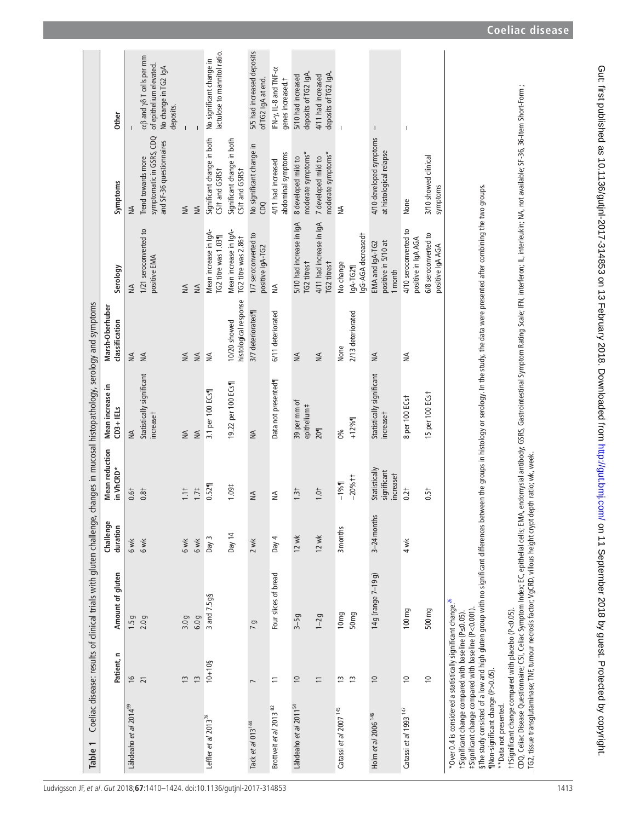|                                                                                                                                                                                            | Patient, n               | Coeliac disease: results of clinical trials with gluten challenge, changes in mucosal histopathology, serology and symptoms<br>Amount of gluten | Challenge<br>duration | <b>Mean reduction</b><br>in VhCRD*        | Mean increase in<br>$CD3+IELS$         | Marsh-Oberhuber<br>dassification      | Serology                                          | Symptoms                                                                   | Other                                                                                    |
|--------------------------------------------------------------------------------------------------------------------------------------------------------------------------------------------|--------------------------|-------------------------------------------------------------------------------------------------------------------------------------------------|-----------------------|-------------------------------------------|----------------------------------------|---------------------------------------|---------------------------------------------------|----------------------------------------------------------------------------|------------------------------------------------------------------------------------------|
| Lähdeaho et al 2014 <sup>99</sup>                                                                                                                                                          | $\frac{1}{2}$            | 1.5g                                                                                                                                            | 6 wk                  | 0.61                                      | $\leq$                                 | $\leq$                                | $\leq$                                            | ≸                                                                          |                                                                                          |
|                                                                                                                                                                                            | $\overline{21}$          | 2.0 <sub>g</sub>                                                                                                                                | 6 wk                  | 0.81                                      | Statistically significant<br>increaset | $\leq$                                | 1/21 seroconverted to<br>positive EMA             | symptomatic in GSRS, CDQ<br>and SF-36 questionnaires<br>Trend towards more | αβ and yδ T cells per mm<br>of epithelium elevated.<br>No change in TG2 IgA<br>deposits. |
|                                                                                                                                                                                            | $\frac{3}{2}$            | 3.0 <sub>g</sub>                                                                                                                                | 6 wk                  | $1.1+$                                    | $\lessgtr$                             | $\leq$                                | $\lessgtr$                                        | ₹                                                                          | Ï                                                                                        |
|                                                                                                                                                                                            | $\frac{3}{2}$            | 6.0 g                                                                                                                                           | 6 wk                  | 1.7 <sup>‡</sup>                          | $\leq$                                 | $\leq$                                | $\leq$                                            | $\leq$                                                                     |                                                                                          |
| Leffler et al $2013^{78}$                                                                                                                                                                  | $10 + 10$ §              | 3 and 7.5 g§                                                                                                                                    | Day 3                 | 0.52                                      | 3.1 per 100 ECs¶                       | $\lessgtr$                            | Mean increase in IgA<br>TG2 titre was 1.03        | Significant change in both<br>CSI <sub>t</sub> and GSRS <sub>t</sub>       | lactulose to mannitol ratio.<br>No significant change in                                 |
|                                                                                                                                                                                            |                          |                                                                                                                                                 | Day 14                | 1.09#                                     | 19.22 per 100 ECs¶                     | histological response<br>10/20 showed | Mean increase in IgA<br>TG2 titre was 2.86+       | Significant change in both<br>CSI <sub>†</sub> and GSRS+                   |                                                                                          |
| Tack et al $013^{144}$                                                                                                                                                                     |                          | $\overline{0}$                                                                                                                                  | $2$ wk                | $\lessgtr$                                | $\lessgtr$                             | 3/7 deteriorated                      | 1/7 seroconverted to<br>positive IgA-TG2          | No significant change in<br>OCD                                            | 5/5 had increased deposits<br>of TG2 IgA at end.                                         |
| Brottveit et al 2013 <sup>82</sup>                                                                                                                                                         | $\overline{\phantom{0}}$ | Four slices of bread                                                                                                                            | Day 4                 | ₹                                         | Data not presented                     | 6/11 deteriorated                     | $\frac{4}{2}$                                     | abdominal symptoms<br>4/11 had increased                                   | IFN- $\gamma$ , IL-8 and TNF- $\alpha$<br>genes increased.t                              |
| Lähdeaho et al 2011 <sup>54</sup>                                                                                                                                                          | $\supseteq$              | $3 - 5g$                                                                                                                                        | $12$ wk               | 1.3 <sup>†</sup>                          | 39 per mm of<br>epithelium#            | $\leq$                                | 5/10 had increase in IgA<br>TG2 titrest           | moderate symptoms*<br>8 developed mild to                                  | deposits of TG2 IgA.<br>5/10 had increased                                               |
|                                                                                                                                                                                            | $\overline{1}$           | $1 - 2g$                                                                                                                                        | $12$ wk               | $1.0+$                                    | 20¶                                    | $\leq$                                | 4/11 had increase in IgA<br>TG2 titrest           | moderate symptoms*<br>7 developed mild to                                  | deposits of TG2 IgA.<br>4/11 had increased                                               |
| Catassi et al 2007 <sup>145</sup>                                                                                                                                                          | ≘                        | 10 <sub>mg</sub>                                                                                                                                | 3 months              | $-1%1$                                    | 0%                                     | None                                  | No change                                         | ₹                                                                          |                                                                                          |
|                                                                                                                                                                                            | $\tilde{ }$              | 50 <sub>mg</sub>                                                                                                                                |                       | $-20%$ tt                                 | $+12%$                                 | 2/13 deteriorated                     | IgG-AGA decreasedt<br>lgA-TG2¶                    |                                                                            |                                                                                          |
| Holm et al 2006 <sup>146</sup>                                                                                                                                                             | $\supseteq$              | 14g (range 7-19g)                                                                                                                               | $3-24$ months         | Statistically<br>significant<br>increaset | Statistically significant<br>increaset | $\leq$                                | positive in 5/10 at<br>EMA and IgA-TG2<br>1 month | 4/10 developed symptoms<br>at histological relapse                         | $\sf I$                                                                                  |
| Catassi et al 1993 <sup>147</sup>                                                                                                                                                          | $\approx$                | 100 <sub>mg</sub>                                                                                                                               | 4 wk                  | 0.21                                      | 8 per 100 ECst                         | ₹                                     | 4/10 seroconverted to<br>positive in IgA AGA      | None                                                                       | $\mathbf{I}$                                                                             |
|                                                                                                                                                                                            | $\approx$                | 500 mg                                                                                                                                          |                       | 0.5 <sup>†</sup>                          | 15 per 100 ECst                        |                                       | 6/8 seroconverted to<br>positive IgA AGA          | 3/10 showed clinical<br>symptoms                                           |                                                                                          |
| *Over 0.4 is considered a statistically significant change. <sup>26</sup><br>\$Significant change compared with baseline (P<0.001)<br>+Significant change compared with baseline (P≤0.05). |                          |                                                                                                                                                 |                       |                                           |                                        |                                       |                                                   |                                                                            |                                                                                          |

<span id="page-3-0"></span>

§The study consisted of a low and high gluten group with no significant differences between the groups in histology or serology. In the study, the data were presented after combining the two groups. ¶Non-significant change (P>0.05). ¶Non-significant change (P>0.05).

\*\*Data not presented. \*\*Data not presented.

††Significant change compared with placebo (P<0.05).

††Significant change compared with placebo (P<0.05).<br>CDQ, Celiac Disease Questionnaire; CSI, Celiac Symptom Index; EC, epithelial cells; EMA, endomysial antibody; GSRS, Gastrointestinal Symptom Rating Scale; IFN, interfero CDQ, Celiac Disease Questionnaire; CSI, Celiac Symptom Index; EC, epithelial cells; EMA, endomysial antibody; GSRS, Gastrointestinal Symptom Rating Scale; IFN, interferon; IL, interferon; NA, not available; SF-36, 36-Item TG2, tissue transglutaminase; TNF, tumour necrosis factor; VgCRD, villous height crypt depth ratio; wk, week.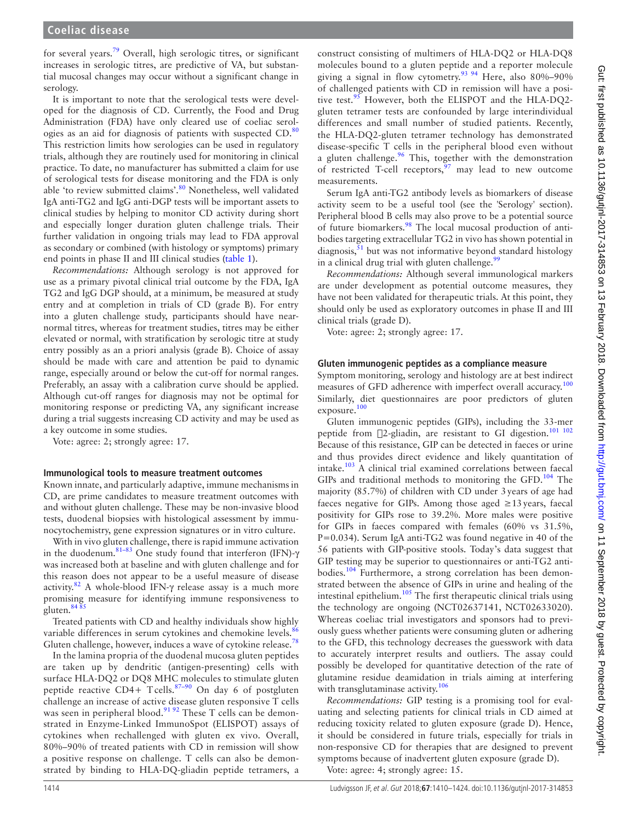for several years. $\frac{79}{2}$  $\frac{79}{2}$  $\frac{79}{2}$  Overall, high serologic titres, or significant increases in serologic titres, are predictive of VA, but substantial mucosal changes may occur without a significant change in serology.

It is important to note that the serological tests were developed for the diagnosis of CD. Currently, the Food and Drug Administration (FDA) have only cleared use of coeliac serol-ogies as an aid for diagnosis of patients with suspected CD.<sup>[80](#page-11-30)</sup> This restriction limits how serologies can be used in regulatory trials, although they are routinely used for monitoring in clinical practice. To date, no manufacturer has submitted a claim for use of serological tests for disease monitoring and the FDA is only able 'to review submitted claims'.<sup>[80](#page-11-30)</sup> Nonetheless, well validated IgA anti-TG2 and IgG anti-DGP tests will be important assets to clinical studies by helping to monitor CD activity during short and especially longer duration gluten challenge trials. Their further validation in ongoing trials may lead to FDA approval as secondary or combined (with histology or symptoms) primary end points in phase II and III clinical studies (table 1).

*Recommendations:* Although serology is not approved for use as a primary pivotal clinical trial outcome by the FDA, IgA TG2 and IgG DGP should, at a minimum, be measured at study entry and at completion in trials of CD (grade B). For entry into a gluten challenge study, participants should have nearnormal titres, whereas for treatment studies, titres may be either elevated or normal, with stratification by serologic titre at study entry possibly as an a priori analysis (grade B). Choice of assay should be made with care and attention be paid to dynamic range, especially around or below the cut-off for normal ranges. Preferably, an assay with a calibration curve should be applied. Although cut-off ranges for diagnosis may not be optimal for monitoring response or predicting VA, any significant increase during a trial suggests increasing CD activity and may be used as a key outcome in some studies.

Vote: agree: 2; strongly agree: 17.

#### **Immunological tools to measure treatment outcomes**

Known innate, and particularly adaptive, immune mechanisms in CD, are prime candidates to measure treatment outcomes with and without gluten challenge. These may be non-invasive blood tests, duodenal biopsies with histological assessment by immunocytochemistry, gene expression signatures or in vitro culture.

With in vivo gluten challenge, there is rapid immune activation in the duodenum.<sup>81–83</sup> One study found that interferon (IFN)- $\gamma$ was increased both at baseline and with gluten challenge and for this reason does not appear to be a useful measure of disease activity.<sup>[82](#page-11-28)</sup> A whole-blood IFN- $\gamma$  release assay is a much more promising measure for identifying immune responsiveness to gluten. $8485$ 

Treated patients with CD and healthy individuals show highly variable differences in serum cytokines and chemokine levels.<sup>8</sup> Gluten challenge, however, induces a wave of cytokine release.<sup>[78](#page-11-27)</sup>

In the lamina propria of the duodenal mucosa gluten peptides are taken up by dendritic (antigen-presenting) cells with surface HLA-DQ2 or DQ8 MHC molecules to stimulate gluten peptide reactive CD4+ Tcells.[87–90](#page-11-34) On day 6 of postgluten challenge an increase of active disease gluten responsive T cells was seen in peripheral blood.<sup>[91 92](#page-11-35)</sup> These T cells can be demonstrated in Enzyme-Linked ImmunoSpot (ELISPOT) assays of cytokines when rechallenged with gluten ex vivo. Overall, 80%–90% of treated patients with CD in remission will show a positive response on challenge. T cells can also be demonstrated by binding to HLA-DQ-gliadin peptide tetramers, a

construct consisting of multimers of HLA-DQ2 or HLA-DQ8 molecules bound to a gluten peptide and a reporter molecule giving a signal in flow cytometry.<sup>93 94</sup> Here, also 80%–90% of challenged patients with CD in remission will have a posi-tive test.<sup>[95](#page-12-6)</sup> However, both the ELISPOT and the HLA-DQ2gluten tetramer tests are confounded by large interindividual differences and small number of studied patients. Recently, the HLA-DQ2-gluten tetramer technology has demonstrated disease-specific T cells in the peripheral blood even without a gluten challenge.<sup>96</sup> This, together with the demonstration of restricted T-cell receptors,  $\frac{97}{7}$  may lead to new outcome measurements.

Serum IgA anti-TG2 antibody levels as biomarkers of disease activity seem to be a useful tool (see the 'Serology' section). Peripheral blood B cells may also prove to be a potential source of future biomarkers.<sup>98</sup> The local mucosal production of antibodies targeting extracellular TG2 in vivo has shown potential in diagnosis, $51$  but was not informative beyond standard histology in a clinical drug trial with gluten challenge.<sup>99</sup>

*Recommendations:* Although several immunological markers are under development as potential outcome measures, they have not been validated for therapeutic trials. At this point, they should only be used as exploratory outcomes in phase II and III clinical trials (grade D).

Vote: agree: 2; strongly agree: 17.

#### **Gluten immunogenic peptides as a compliance measure**

Symptom monitoring, serology and histology are at best indirect measures of GFD adherence with imperfect overall accuracy.<sup>100</sup> Similarly, diet questionnaires are poor predictors of gluten exposure.[100](#page-12-10)

Gluten immunogenic peptides (GIPs), including the 33-mer peptide from []2-gliadin, are resistant to GI digestion.<sup>[101 102](#page-12-11)</sup> Because of this resistance, GIP can be detected in faeces or urine and thus provides direct evidence and likely quantitation of intake. $103$  A clinical trial examined correlations between faecal GIPs and traditional methods to monitoring the GFD.<sup>[104](#page-12-13)</sup> The majority (85.7%) of children with CD under 3years of age had faeces negative for GIPs. Among those aged  $\geq$ 13 years, faecal positivity for GIPs rose to 39.2%. More males were positive for GIPs in faeces compared with females (60% vs 31.5%, P=0.034). Serum IgA anti-TG2 was found negative in 40 of the 56 patients with GIP-positive stools. Today's data suggest that GIP testing may be superior to questionnaires or anti-TG2 antibodies.<sup>104</sup> Furthermore, a strong correlation has been demonstrated between the absence of GIPs in urine and healing of the intestinal epithelium.<sup>105</sup> The first therapeutic clinical trials using the technology are ongoing (NCT02637141, NCT02633020). Whereas coeliac trial investigators and sponsors had to previously guess whether patients were consuming gluten or adhering to the GFD, this technology decreases the guesswork with data to accurately interpret results and outliers. The assay could possibly be developed for quantitative detection of the rate of glutamine residue deamidation in trials aiming at interfering with transglutaminase activity.<sup>106</sup>

*Recommendations:* GIP testing is a promising tool for evaluating and selecting patients for clinical trials in CD aimed at reducing toxicity related to gluten exposure (grade D). Hence, it should be considered in future trials, especially for trials in non-responsive CD for therapies that are designed to prevent symptoms because of inadvertent gluten exposure (grade D).

Vote: agree: 4; strongly agree: 15.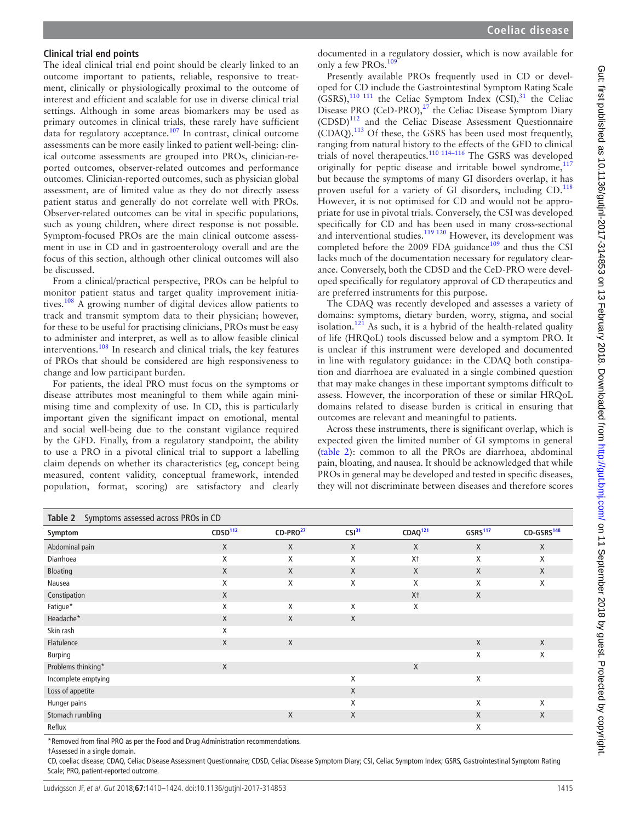### **Clinical trial end points**

The ideal clinical trial end point should be clearly linked to an outcome important to patients, reliable, responsive to treatment, clinically or physiologically proximal to the outcome of interest and efficient and scalable for use in diverse clinical trial settings. Although in some areas biomarkers may be used as primary outcomes in clinical trials, these rarely have sufficient data for regulatory acceptance.<sup>107</sup> In contrast, clinical outcome assessments can be more easily linked to patient well-being: clinical outcome assessments are grouped into PROs, clinician-reported outcomes, observer-related outcomes and performance outcomes. Clinician-reported outcomes, such as physician global assessment, are of limited value as they do not directly assess patient status and generally do not correlate well with PROs. Observer-related outcomes can be vital in specific populations, such as young children, where direct response is not possible. Symptom-focused PROs are the main clinical outcome assessment in use in CD and in gastroenterology overall and are the focus of this section, although other clinical outcomes will also be discussed.

From a clinical/practical perspective, PROs can be helpful to monitor patient status and target quality improvement initiatives.[108](#page-12-17) A growing number of digital devices allow patients to track and transmit symptom data to their physician; however, for these to be useful for practising clinicians, PROs must be easy to administer and interpret, as well as to allow feasible clinical interventions.[108](#page-12-17) In research and clinical trials, the key features of PROs that should be considered are high responsiveness to change and low participant burden.

For patients, the ideal PRO must focus on the symptoms or disease attributes most meaningful to them while again minimising time and complexity of use. In CD, this is particularly important given the significant impact on emotional, mental and social well-being due to the constant vigilance required by the GFD. Finally, from a regulatory standpoint, the ability to use a PRO in a pivotal clinical trial to support a labelling claim depends on whether its characteristics (eg, concept being measured, content validity, conceptual framework, intended population, format, scoring) are satisfactory and clearly documented in a regulatory dossier, which is now available for only a few PROs.<sup>[109](#page-12-18)</sup>

Presently available PROs frequently used in CD or developed for CD include the Gastrointestinal Symptom Rating Scale  $(GSRS)$ ,<sup>110 111</sup> the Celiac Symptom Index  $(CSI)$ ,<sup>31</sup> the Celiac Disease PRO (CeD-PRO), $^{27}$  the Celiac Disease Symptom Diary (CDSD)[112](#page-12-20) and the Celiac Disease Assessment Questionnaire (CDAQ).[113](#page-12-21) Of these, the GSRS has been used most frequently, ranging from natural history to the effects of the GFD to clinical trials of novel therapeutics.[110 114–116](#page-12-19) The GSRS was developed originally for peptic disease and irritable bowel syndrome, $117$ but because the symptoms of many GI disorders overlap, it has proven useful for a variety of GI disorders, including CD.<sup>118</sup> However, it is not optimised for CD and would not be appropriate for use in pivotal trials. Conversely, the CSI was developed specifically for CD and has been used in many cross-sectional and interventional studies.<sup>[119 120](#page-12-24)</sup> However, its development was completed before the 2009 FDA guidance $109$  and thus the CSI lacks much of the documentation necessary for regulatory clearance. Conversely, both the CDSD and the CeD-PRO were developed specifically for regulatory approval of CD therapeutics and are preferred instruments for this purpose.

The CDAQ was recently developed and assesses a variety of domains: symptoms, dietary burden, worry, stigma, and social isolation.<sup>121</sup> As such, it is a hybrid of the health-related quality of life (HRQoL) tools discussed below and a symptom PRO. It is unclear if this instrument were developed and documented in line with regulatory guidance: in the CDAQ both constipation and diarrhoea are evaluated in a single combined question that may make changes in these important symptoms difficult to assess. However, the incorporation of these or similar HRQoL domains related to disease burden is critical in ensuring that outcomes are relevant and meaningful to patients.

Across these instruments, there is significant overlap, which is expected given the limited number of GI symptoms in general ([table](#page-5-0) 2): common to all the PROs are diarrhoea, abdominal pain, bloating, and nausea. It should be acknowledged that while PROs in general may be developed and tested in specific diseases, they will not discriminate between diseases and therefore scores

<span id="page-5-0"></span>

| Table 2<br>Symptoms assessed across PROs in CD |                     |            |                   |                     |                     |                        |  |
|------------------------------------------------|---------------------|------------|-------------------|---------------------|---------------------|------------------------|--|
| Symptom                                        | CDSD <sup>112</sup> | $CD-PRO27$ | CSI <sup>31</sup> | CDAQ <sup>121</sup> | GSRS <sup>117</sup> | CD-GSRS <sup>148</sup> |  |
| Abdominal pain                                 | X                   | X          | X                 | $\chi$              | X                   | $\chi$                 |  |
| Diarrhoea                                      | X                   | X          | X                 | X <sup>+</sup>      | X                   | X                      |  |
| Bloating                                       | $\chi$              | X          | X                 | $\chi$              | X                   | $\mathsf{X}$           |  |
| Nausea                                         | X                   | X          | X                 | X                   | X                   | X                      |  |
| Constipation                                   | $\chi$              |            |                   | X <sup>+</sup>      | X                   |                        |  |
| Fatigue*                                       | X                   | X          | X                 | X                   |                     |                        |  |
| Headache*                                      | X                   | X          | X                 |                     |                     |                        |  |
| Skin rash                                      | X                   |            |                   |                     |                     |                        |  |
| Flatulence                                     | X                   | X          |                   |                     | X                   | $\mathsf{X}$           |  |
| <b>Burping</b>                                 |                     |            |                   |                     | X                   | Χ                      |  |
| Problems thinking*                             | $\boldsymbol{X}$    |            |                   | $\chi$              |                     |                        |  |
| Incomplete emptying                            |                     |            | Χ                 |                     | Χ                   |                        |  |
| Loss of appetite                               |                     |            | X                 |                     |                     |                        |  |
| Hunger pains                                   |                     |            | X                 |                     | X                   | X                      |  |
| Stomach rumbling                               |                     | X          | X                 |                     | X                   | X                      |  |
| Reflux                                         |                     |            |                   |                     | X                   |                        |  |

\*Removed from final PRO as per the Food and Drug Administration recommendations.

†Assessed in a single domain.

CD, coeliac disease; CDAQ, Celiac Disease Assessment Questionnaire; CDSD, Celiac Disease Symptom Diary; CSI, Celiac Symptom Index; GSRS, Gastrointestinal Symptom Rating Scale; PRO, patient-reported outcome.

Gut: first published as 10.1136/gutjnl-2017-314853 on 13 February 2018. Downloaded from http://gut.bmj.com/ on 11 September 2018 by guest. Protected by copyright Gut: first published as 10.1136/gutjnl-2017-314853 on 13 February 2018. Downloaded from <http://gut.bmj.com/> on 11 September 2018 by guest. Protected by copyright.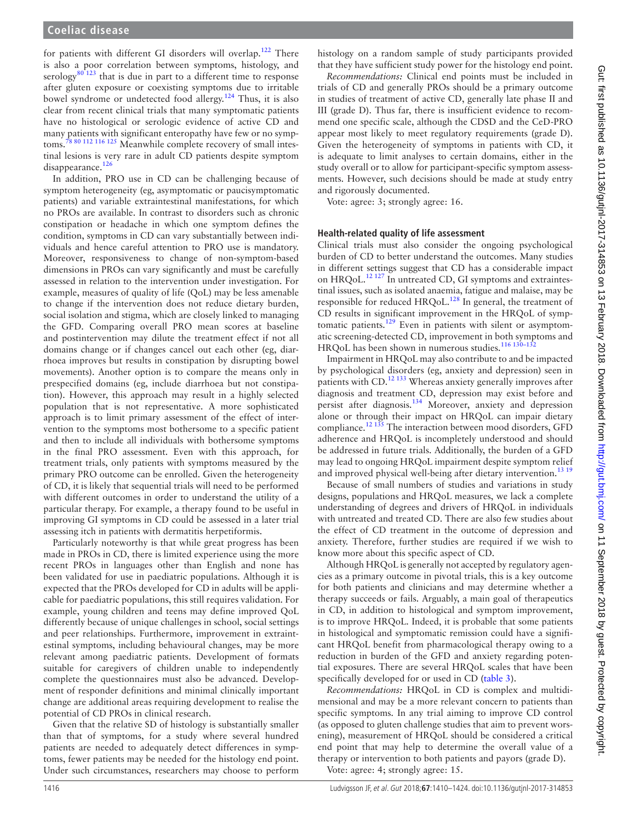for patients with different GI disorders will overlap.[122](#page-12-27) There is also a poor correlation between symptoms, histology, and serology $80^{123}$  that is due in part to a different time to response after gluten exposure or coexisting symptoms due to irritable bowel syndrome or undetected food allergy.[124](#page-12-28) Thus, it is also clear from recent clinical trials that many symptomatic patients have no histological or serologic evidence of active CD and many patients with significant enteropathy have few or no symptoms.[78 80 112 116 125](#page-11-27) Meanwhile complete recovery of small intestinal lesions is very rare in adult CD patients despite symptom disappearance.<sup>[126](#page-12-29)</sup>

In addition, PRO use in CD can be challenging because of symptom heterogeneity (eg, asymptomatic or paucisymptomatic patients) and variable extraintestinal manifestations, for which no PROs are available. In contrast to disorders such as chronic constipation or headache in which one symptom defines the condition, symptoms in CD can vary substantially between individuals and hence careful attention to PRO use is mandatory. Moreover, responsiveness to change of non-symptom-based dimensions in PROs can vary significantly and must be carefully assessed in relation to the intervention under investigation. For example, measures of quality of life (QoL) may be less amenable to change if the intervention does not reduce dietary burden, social isolation and stigma, which are closely linked to managing the GFD. Comparing overall PRO mean scores at baseline and postintervention may dilute the treatment effect if not all domains change or if changes cancel out each other (eg, diarrhoea improves but results in constipation by disrupting bowel movements). Another option is to compare the means only in prespecified domains (eg, include diarrhoea but not constipation). However, this approach may result in a highly selected population that is not representative. A more sophisticated approach is to limit primary assessment of the effect of intervention to the symptoms most bothersome to a specific patient and then to include all individuals with bothersome symptoms in the final PRO assessment. Even with this approach, for treatment trials, only patients with symptoms measured by the primary PRO outcome can be enrolled. Given the heterogeneity of CD, it is likely that sequential trials will need to be performed with different outcomes in order to understand the utility of a particular therapy. For example, a therapy found to be useful in improving GI symptoms in CD could be assessed in a later trial assessing itch in patients with dermatitis herpetiformis.

Particularly noteworthy is that while great progress has been made in PROs in CD, there is limited experience using the more recent PROs in languages other than English and none has been validated for use in paediatric populations. Although it is expected that the PROs developed for CD in adults will be applicable for paediatric populations, this still requires validation. For example, young children and teens may define improved QoL differently because of unique challenges in school, social settings and peer relationships. Furthermore, improvement in extraintestinal symptoms, including behavioural changes, may be more relevant among paediatric patients. Development of formats suitable for caregivers of children unable to independently complete the questionnaires must also be advanced. Development of responder definitions and minimal clinically important change are additional areas requiring development to realise the potential of CD PROs in clinical research.

Given that the relative SD of histology is substantially smaller than that of symptoms, for a study where several hundred patients are needed to adequately detect differences in symptoms, fewer patients may be needed for the histology end point. Under such circumstances, researchers may choose to perform

histology on a random sample of study participants provided that they have sufficient study power for the histology end point.

*Recommendations:* Clinical end points must be included in trials of CD and generally PROs should be a primary outcome in studies of treatment of active CD, generally late phase II and III (grade D). Thus far, there is insufficient evidence to recommend one specific scale, although the CDSD and the CeD-PRO appear most likely to meet regulatory requirements (grade D). Given the heterogeneity of symptoms in patients with CD, it is adequate to limit analyses to certain domains, either in the study overall or to allow for participant-specific symptom assessments. However, such decisions should be made at study entry and rigorously documented.

Vote: agree: 3; strongly agree: 16.

# **Health-related quality of life assessment**

Clinical trials must also consider the ongoing psychological burden of CD to better understand the outcomes. Many studies in different settings suggest that CD has a considerable impact on HRQoL.<sup>12 127</sup> In untreated CD, GI symptoms and extraintestinal issues, such as isolated anaemia, fatigue and malaise, may be responsible for reduced HRQoL.<sup>128</sup> In general, the treatment of CD results in significant improvement in the HRQoL of symptomatic patients.<sup>129</sup> Even in patients with silent or asymptomatic screening-detected CD, improvement in both symptoms and HRQoL has been shown in numerous studies.<sup>116 130-132</sup>

Impairment in HRQoL may also contribute to and be impacted by psychological disorders (eg, anxiety and depression) seen in patients with CD.<sup>12 133</sup> Whereas anxiety generally improves after diagnosis and treatment CD, depression may exist before and persist after diagnosis.[134](#page-12-33) Moreover, anxiety and depression alone or through their impact on HRQoL can impair dietary compliance.<sup>12 135</sup> The interaction between mood disorders, GFD adherence and HRQoL is incompletely understood and should be addressed in future trials. Additionally, the burden of a GFD may lead to ongoing HRQoL impairment despite symptom relief and improved physical well-being after dietary intervention.<sup>13 19</sup>

Because of small numbers of studies and variations in study designs, populations and HRQoL measures, we lack a complete understanding of degrees and drivers of HRQoL in individuals with untreated and treated CD. There are also few studies about the effect of CD treatment in the outcome of depression and anxiety. Therefore, further studies are required if we wish to know more about this specific aspect of CD.

Although HRQoL is generally not accepted by regulatory agencies as a primary outcome in pivotal trials, this is a key outcome for both patients and clinicians and may determine whether a therapy succeeds or fails. Arguably, a main goal of therapeutics in CD, in addition to histological and symptom improvement, is to improve HRQoL. Indeed, it is probable that some patients in histological and symptomatic remission could have a significant HRQoL benefit from pharmacological therapy owing to a reduction in burden of the GFD and anxiety regarding potential exposures. There are several HRQoL scales that have been specifically developed for or used in CD [\(table](#page-7-0) 3).

*Recommendations:* HRQoL in CD is complex and multidimensional and may be a more relevant concern to patients than specific symptoms. In any trial aiming to improve CD control (as opposed to gluten challenge studies that aim to prevent worsening), measurement of HRQoL should be considered a critical end point that may help to determine the overall value of a therapy or intervention to both patients and payors (grade D).

Vote: agree: 4; strongly agree: 15.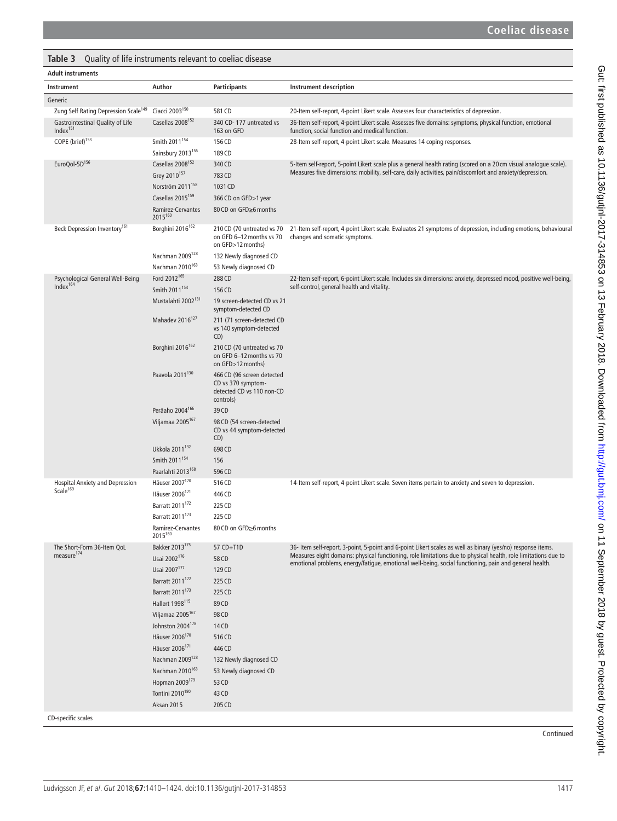# <span id="page-7-0"></span>**Table 3** Quality of life instruments relevant to coeliac disease

| <b>Adult instruments</b>                                    |                                          |                                                                                            |                                                                                                                                                                                                                          |
|-------------------------------------------------------------|------------------------------------------|--------------------------------------------------------------------------------------------|--------------------------------------------------------------------------------------------------------------------------------------------------------------------------------------------------------------------------|
| Instrument                                                  | Author                                   | Participants                                                                               | Instrument description                                                                                                                                                                                                   |
| Generic                                                     |                                          |                                                                                            |                                                                                                                                                                                                                          |
| Zung Self Rating Depression Scale <sup>149</sup>            | Ciacci 2003 <sup>150</sup>               | 581 CD                                                                                     | 20-Item self-report, 4-point Likert scale. Assesses four characteristics of depression.                                                                                                                                  |
| <b>Gastrointestinal Quality of Life</b><br>Index $151$      | Casellas 2008 <sup>152</sup>             | 340 CD-177 untreated vs<br>163 on GFD                                                      | 36-Item self-report, 4-point Likert scale. Assesses five domains: symptoms, physical function, emotional<br>function, social function and medical function.                                                              |
| COPE (brief) <sup>153</sup>                                 | Smith 2011 <sup>154</sup>                | 156 CD                                                                                     | 28-Item self-report, 4-point Likert scale. Measures 14 coping responses.                                                                                                                                                 |
|                                                             | Sainsbury 2013 <sup>155</sup>            | 189 CD                                                                                     |                                                                                                                                                                                                                          |
| EuroQol-5D <sup>156</sup>                                   | Casellas 2008 <sup>152</sup>             | 340 CD                                                                                     | 5-Item self-report, 5-point Likert scale plus a general health rating (scored on a 20 cm visual analogue scale).                                                                                                         |
|                                                             | Grey 2010 <sup>157</sup>                 | 783 CD                                                                                     | Measures five dimensions: mobility, self-care, daily activities, pain/discomfort and anxiety/depression.                                                                                                                 |
|                                                             | Norström 2011 <sup>158</sup>             | 1031 CD                                                                                    |                                                                                                                                                                                                                          |
|                                                             | Casellas 2015 <sup>159</sup>             | 366 CD on GFD>1 year                                                                       |                                                                                                                                                                                                                          |
|                                                             | Ramirez-Cervantes<br>2015160             | 80 CD on GFD≥6 months                                                                      |                                                                                                                                                                                                                          |
| Beck Depression Inventory <sup>161</sup>                    | Borghini 2016 <sup>162</sup>             | 210 CD (70 untreated vs 70<br>on GFD 6-12 months vs 70<br>on GFD>12 months)                | 21-Item self-report, 4-point Likert scale. Evaluates 21 symptoms of depression, including emotions, behavioural<br>changes and somatic symptoms.                                                                         |
|                                                             | Nachman 2009 <sup>128</sup>              | 132 Newly diagnosed CD                                                                     |                                                                                                                                                                                                                          |
|                                                             | Nachman 2010 <sup>163</sup>              | 53 Newly diagnosed CD                                                                      |                                                                                                                                                                                                                          |
| Psychological General Well-Being                            | Ford 2012 <sup>165</sup>                 | 288 CD                                                                                     | 22-Item self-report, 6-point Likert scale. Includes six dimensions: anxiety, depressed mood, positive well-being,                                                                                                        |
| Index <sup>164</sup>                                        | Smith 2011 <sup>154</sup>                | 156 CD                                                                                     | self-control, general health and vitality.                                                                                                                                                                               |
|                                                             | Mustalahti 2002 <sup>131</sup>           | 19 screen-detected CD vs 21<br>symptom-detected CD                                         |                                                                                                                                                                                                                          |
|                                                             | Mahadev 2016 <sup>127</sup>              | 211 (71 screen-detected CD<br>vs 140 symptom-detected<br>CD)                               |                                                                                                                                                                                                                          |
|                                                             | Borghini 2016 <sup>162</sup>             | 210 CD (70 untreated vs 70<br>on GFD 6-12 months vs 70<br>on GFD>12 months)                |                                                                                                                                                                                                                          |
|                                                             | Paavola 2011 <sup>130</sup>              | 466 CD (96 screen detected<br>CD vs 370 symptom-<br>detected CD vs 110 non-CD<br>controls) |                                                                                                                                                                                                                          |
|                                                             | Peräaho 2004 <sup>166</sup>              | 39 CD                                                                                      |                                                                                                                                                                                                                          |
|                                                             | Viljamaa 2005 <sup>167</sup>             | 98 CD (54 screen-detected<br>CD vs 44 symptom-detected<br>CD)                              |                                                                                                                                                                                                                          |
|                                                             | Ukkola 2011 <sup>132</sup>               | 698 CD                                                                                     |                                                                                                                                                                                                                          |
|                                                             | Smith 2011 <sup>154</sup>                | 156                                                                                        |                                                                                                                                                                                                                          |
|                                                             | Paarlahti 2013 <sup>168</sup>            | 596 CD                                                                                     |                                                                                                                                                                                                                          |
| <b>Hospital Anxiety and Depression</b>                      | Häuser 2007 <sup>170</sup>               | 516 CD                                                                                     | 14-Item self-report, 4-point Likert scale. Seven items pertain to anxiety and seven to depression.                                                                                                                       |
| Scale <sup>169</sup>                                        | Häuser 2006 <sup>171</sup>               | 446 CD                                                                                     |                                                                                                                                                                                                                          |
|                                                             | Barratt 2011 <sup>172</sup>              | 225 CD                                                                                     |                                                                                                                                                                                                                          |
|                                                             | Barratt 2011 <sup>173</sup>              | 225 CD                                                                                     |                                                                                                                                                                                                                          |
|                                                             | Ramirez-Cervantes<br>2015 <sup>160</sup> | 80 CD on GFD≥6 months                                                                      |                                                                                                                                                                                                                          |
| The Short-Form 36-Item QoL                                  | Bakker 2013 <sup>175</sup><br>57 CD+T1D  |                                                                                            | 36- Item self-report, 3-point, 5-point and 6-point Likert scales as well as binary (yes/no) response items.                                                                                                              |
| measure <sup>174</sup><br>Usai 2002 <sup>176</sup><br>58 CD |                                          |                                                                                            | Measures eight domains: physical functioning, role limitations due to physical health, role limitations due to<br>emotional problems, energy/fatigue, emotional well-being, social functioning, pain and general health. |
|                                                             | Usai 2007 <sup>177</sup>                 | 129 CD                                                                                     |                                                                                                                                                                                                                          |
|                                                             | Barratt 2011 <sup>172</sup>              | 225 CD                                                                                     |                                                                                                                                                                                                                          |
|                                                             | Barratt 2011 <sup>173</sup>              | 225 CD                                                                                     |                                                                                                                                                                                                                          |
|                                                             | Hallert 1998 <sup>115</sup>              | 89 CD                                                                                      |                                                                                                                                                                                                                          |
|                                                             | Viljamaa 2005 <sup>167</sup>             | 98 CD                                                                                      |                                                                                                                                                                                                                          |
|                                                             | Johnston 2004 <sup>178</sup>             | 14 CD                                                                                      |                                                                                                                                                                                                                          |
|                                                             | Häuser 2006 <sup>170</sup>               | 516 CD                                                                                     |                                                                                                                                                                                                                          |
|                                                             | Häuser 2006 <sup>171</sup>               | 446 CD                                                                                     |                                                                                                                                                                                                                          |
|                                                             | Nachman 2009 <sup>128</sup>              | 132 Newly diagnosed CD                                                                     |                                                                                                                                                                                                                          |
|                                                             | Nachman 2010 <sup>163</sup>              | 53 Newly diagnosed CD                                                                      |                                                                                                                                                                                                                          |
|                                                             | Hopman 2009 <sup>179</sup>               | 53 CD                                                                                      |                                                                                                                                                                                                                          |
|                                                             | Tontini 2010 <sup>180</sup>              | 43 CD                                                                                      |                                                                                                                                                                                                                          |
|                                                             | Aksan 2015                               | 205 CD                                                                                     |                                                                                                                                                                                                                          |
| CD-specific scales                                          |                                          |                                                                                            |                                                                                                                                                                                                                          |

Continued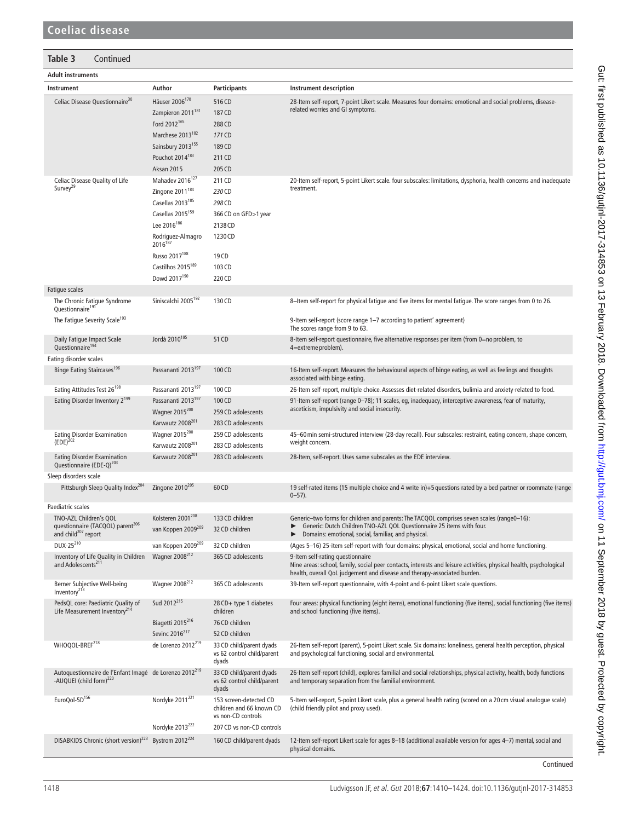# **Table 3** Continued

| Adult instruments                                                                                         |                                                                 |                                                                          |                                                                                                                                                                                                                                 |
|-----------------------------------------------------------------------------------------------------------|-----------------------------------------------------------------|--------------------------------------------------------------------------|---------------------------------------------------------------------------------------------------------------------------------------------------------------------------------------------------------------------------------|
| Instrument                                                                                                | Author                                                          | Participants                                                             | Instrument description                                                                                                                                                                                                          |
| Celiac Disease Questionnaire <sup>30</sup>                                                                | Häuser 2006 <sup>170</sup>                                      | 516 CD                                                                   | 28-Item self-report, 7-point Likert scale. Measures four domains: emotional and social problems, disease-                                                                                                                       |
|                                                                                                           | Zampieron 2011 <sup>181</sup>                                   | 187 CD                                                                   | related worries and GI symptoms.                                                                                                                                                                                                |
|                                                                                                           | Ford 2012 <sup>165</sup>                                        | 288 CD                                                                   |                                                                                                                                                                                                                                 |
|                                                                                                           | Marchese 2013 <sup>182</sup>                                    | 171 CD                                                                   |                                                                                                                                                                                                                                 |
|                                                                                                           | Sainsbury 2013 <sup>155</sup>                                   | 189 CD                                                                   |                                                                                                                                                                                                                                 |
|                                                                                                           | Pouchot 2014 <sup>183</sup>                                     | 211 CD                                                                   |                                                                                                                                                                                                                                 |
|                                                                                                           | Aksan 2015                                                      | 205 CD                                                                   |                                                                                                                                                                                                                                 |
| Celiac Disease Quality of Life                                                                            | Mahadev 2016 <sup>127</sup>                                     | 211 CD                                                                   |                                                                                                                                                                                                                                 |
| Survey <sup>29</sup>                                                                                      |                                                                 |                                                                          | 20-Item self-report, 5-point Likert scale. four subscales: limitations, dysphoria, health concerns and inadequate<br>treatment.                                                                                                 |
|                                                                                                           | Zingone 2011 <sup>184</sup>                                     | 230 CD                                                                   |                                                                                                                                                                                                                                 |
|                                                                                                           | Casellas 2013 <sup>185</sup>                                    | 298 CD                                                                   |                                                                                                                                                                                                                                 |
|                                                                                                           | Casellas 2015 <sup>159</sup>                                    | 366 CD on GFD>1 year                                                     |                                                                                                                                                                                                                                 |
|                                                                                                           | Lee 2016 <sup>186</sup>                                         | 2138 CD                                                                  |                                                                                                                                                                                                                                 |
|                                                                                                           | Rodriguez-Almagro<br>2016 <sup>187</sup>                        | 1230 CD                                                                  |                                                                                                                                                                                                                                 |
|                                                                                                           | Russo 2017 <sup>188</sup>                                       | 19 CD                                                                    |                                                                                                                                                                                                                                 |
|                                                                                                           | Castilhos 2015 <sup>189</sup>                                   | 103 CD                                                                   |                                                                                                                                                                                                                                 |
|                                                                                                           | Dowd 2017 <sup>190</sup>                                        | 220 CD                                                                   |                                                                                                                                                                                                                                 |
| Fatigue scales                                                                                            |                                                                 |                                                                          |                                                                                                                                                                                                                                 |
| The Chronic Fatigue Syndrome                                                                              | Siniscalchi 2005 <sup>192</sup>                                 | 130 CD                                                                   | 8-Item self-report for physical fatigue and five items for mental fatigue. The score ranges from 0 to 26.                                                                                                                       |
| Questionnaire <sup>191</sup><br>The Fatigue Severity Scale <sup>193</sup>                                 |                                                                 |                                                                          | 9-Item self-report (score range 1-7 according to patient' agreement)                                                                                                                                                            |
|                                                                                                           |                                                                 |                                                                          | The scores range from 9 to 63.                                                                                                                                                                                                  |
| Daily Fatigue Impact Scale<br>Questionnaire <sup>194</sup>                                                | Jordà 2010 <sup>195</sup>                                       | 51 CD                                                                    | 8-Item self-report questionnaire, five alternative responses per item (from 0=no problem, to<br>4=extreme problem).                                                                                                             |
| Eating disorder scales                                                                                    |                                                                 |                                                                          |                                                                                                                                                                                                                                 |
| <b>Binge Eating Staircases<sup>196</sup></b>                                                              | Passananti 2013 <sup>197</sup>                                  | 100 CD                                                                   | 16-Item self-report. Measures the behavioural aspects of binge eating, as well as feelings and thoughts<br>associated with binge eating.                                                                                        |
| Eating Attitudes Test 26 <sup>198</sup>                                                                   | Passananti 2013 <sup>197</sup>                                  | 100 CD                                                                   | 26-Item self-report, multiple choice. Assesses diet-related disorders, bulimia and anxiety-related to food.                                                                                                                     |
| Eating Disorder Inventory 2 <sup>199</sup>                                                                | Passananti 2013 <sup>197</sup>                                  | 100 CD                                                                   | 91-Item self-report (range 0-78); 11 scales, eg, inadequacy, interceptive awareness, fear of maturity,                                                                                                                          |
|                                                                                                           | Wagner 2015 <sup>200</sup>                                      | 259 CD adolescents                                                       | asceticism, impulsivity and social insecurity.                                                                                                                                                                                  |
|                                                                                                           | Karwautz 2008 <sup>201</sup>                                    | 283 CD adolescents                                                       |                                                                                                                                                                                                                                 |
| <b>Eating Disorder Examination</b>                                                                        | Wagner 2015 <sup>200</sup>                                      | 259 CD adolescents                                                       | 45-60 min semi-structured interview (28-day recall). Four subscales: restraint, eating concern, shape concern,                                                                                                                  |
| $(EDE)^{202}$                                                                                             | Karwautz 2008 <sup>201</sup>                                    | 283 CD adolescents                                                       | weight concern.                                                                                                                                                                                                                 |
| <b>Eating Disorder Examination</b><br>Questionnaire (EDE-Q) <sup>203</sup>                                | Karwautz 2008 <sup>201</sup>                                    | 283 CD adolescents                                                       | 28-Item, self-report. Uses same subscales as the EDE interview.                                                                                                                                                                 |
| Sleep disorders scale                                                                                     |                                                                 |                                                                          |                                                                                                                                                                                                                                 |
| Pittsburgh Sleep Quality Index <sup>204</sup>                                                             | Zingone 2010 <sup>205</sup>                                     | 60 CD                                                                    | 19 self-rated items (15 multiple choice and 4 write in)+5 questions rated by a bed partner or roommate (range                                                                                                                   |
|                                                                                                           |                                                                 |                                                                          | $0 - 57$ ).                                                                                                                                                                                                                     |
| Paediatric scales                                                                                         |                                                                 |                                                                          |                                                                                                                                                                                                                                 |
| TNO-AZL Children's QOL<br>questionnaire (TACQOL) parent <sup>206</sup><br>and child <sup>207</sup> report | Kolsteren 2001 <sup>208</sup><br>van Koppen 2009 <sup>209</sup> | 133 CD children<br>32 CD children                                        | Generic-two forms for children and parents: The TACQOL comprises seven scales (range0-16):<br>Generic: Dutch Children TNO-AZL QOL Questionnaire 25 items with four.<br>Domains: emotional, social, familiar, and physical.<br>▶ |
| DUX-25 <sup>210</sup>                                                                                     | van Koppen 2009209                                              | 32 CD children                                                           | (Ages 5–16) 25-item self-report with four domains: physical, emotional, social and home functioning.                                                                                                                            |
|                                                                                                           | Wagner 2008 <sup>212</sup>                                      |                                                                          | 9-Item self-rating questionnaire                                                                                                                                                                                                |
| Inventory of Life Quality in Children<br>and Adolescents <sup>211</sup>                                   |                                                                 | 365 CD adolescents                                                       | Nine areas: school, family, social peer contacts, interests and leisure activities, physical health, psychological<br>health, overall QoL judgement and disease and therapy-associated burden.                                  |
| Berner Subjective Well-being<br>Inventory <sup>213</sup>                                                  | Wagner 2008 <sup>212</sup>                                      | 365 CD adolescents                                                       | 39-Item self-report questionnaire, with 4-point and 6-point Likert scale questions.                                                                                                                                             |
| PedsQL core: Paediatric Quality of<br>Life Measurement Inventory <sup>214</sup>                           | Sud 2012 <sup>215</sup>                                         | 28 CD+ type 1 diabetes<br>children                                       | Four areas: physical functioning (eight items), emotional functioning (five items), social functioning (five items)<br>and school functioning (five items).                                                                     |
|                                                                                                           | Biagetti 2015 <sup>216</sup>                                    | 76 CD children                                                           |                                                                                                                                                                                                                                 |
|                                                                                                           | Sevinc 2016 <sup>217</sup>                                      | 52 CD children                                                           |                                                                                                                                                                                                                                 |
| WHOOOL-BREF <sup>218</sup>                                                                                | de Lorenzo 2012 <sup>219</sup>                                  | 33 CD child/parent dyads<br>vs 62 control child/parent<br>dyads          | 26-Item self-report (parent), 5-point Likert scale. Six domains: loneliness, general health perception, physical<br>and psychological functioning, social and environmental.                                                    |
| Autoquestionnaire de l'Enfant Imagé de Lorenzo 2012 <sup>219</sup><br>-AUQUEI (child form) <sup>220</sup> |                                                                 | 33 CD child/parent dyads<br>vs 62 control child/parent<br>dyads          | 26-Item self-report (child), explores familial and social relationships, physical activity, health, body functions<br>and temporary separation from the familial environment.                                                   |
| EuroQol-5D <sup>156</sup>                                                                                 | Nordyke 2011 <sup>221</sup>                                     | 153 screen-detected CD<br>children and 66 known CD<br>vs non-CD controls | 5-Item self-report, 5-point Likert scale, plus a general health rating (scored on a 20 cm visual analogue scale)<br>(child friendly pilot and proxy used).                                                                      |
|                                                                                                           | Nordyke 2013 <sup>222</sup>                                     | 207 CD vs non-CD controls                                                |                                                                                                                                                                                                                                 |
| DISABKIDS Chronic (short version) <sup>223</sup>                                                          | Bystrom 2012 <sup>224</sup>                                     | 160 CD child/parent dyads                                                | 12-Item self-report Likert scale for ages 8-18 (additional available version for ages 4-7) mental, social and<br>physical domains.                                                                                              |

Continued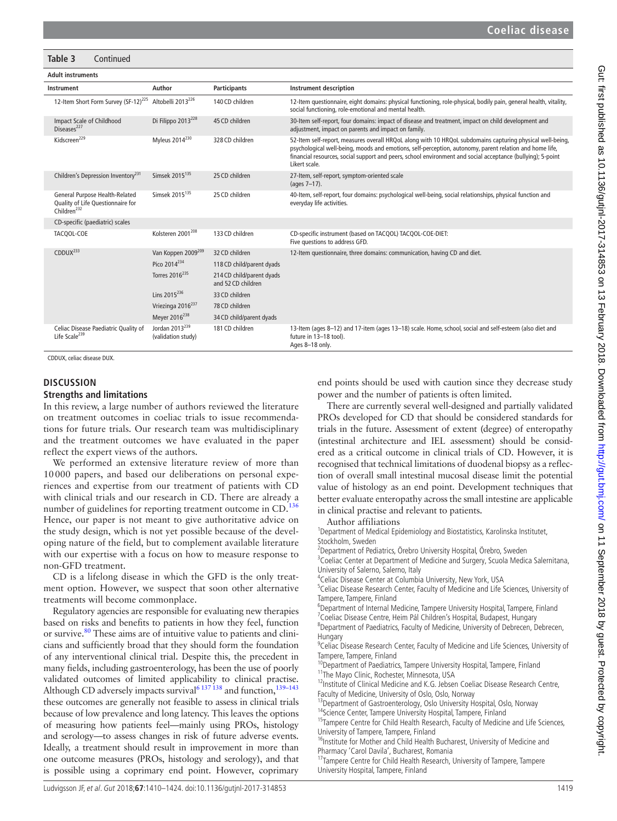#### **Table 3** Continued

| <b>Adult instruments</b>                                                                       |                                                  |                                                 |                                                                                                                                                                                                                                                                                                                                                      |
|------------------------------------------------------------------------------------------------|--------------------------------------------------|-------------------------------------------------|------------------------------------------------------------------------------------------------------------------------------------------------------------------------------------------------------------------------------------------------------------------------------------------------------------------------------------------------------|
| Instrument                                                                                     | Author                                           | <b>Participants</b>                             | Instrument description                                                                                                                                                                                                                                                                                                                               |
| 12-Item Short Form Survey (SF-12) <sup>225</sup>                                               | Altobelli 2013 <sup>226</sup>                    | 140 CD children                                 | 12-Item questionnaire, eight domains: physical functioning, role-physical, bodily pain, general health, vitality,<br>social functioning, role-emotional and mental health.                                                                                                                                                                           |
| Impact Scale of Childhood<br>Diseases <sup>227</sup>                                           | Di Filippo 2013 <sup>228</sup>                   | 45 CD children                                  | 30-Item self-report, four domains: impact of disease and treatment, impact on child development and<br>adjustment, impact on parents and impact on family.                                                                                                                                                                                           |
| Kidscreen <sup>229</sup>                                                                       | Myleus 2014 <sup>230</sup>                       | 328 CD children                                 | 52-Item self-report, measures overall HRQoL along with 10 HRQoL subdomains capturing physical well-being,<br>psychological well-being, moods and emotions, self-perception, autonomy, parent relation and home life,<br>financial resources, social support and peers, school environment and social acceptance (bullying); 5-point<br>Likert scale. |
| Children's Depression Inventory <sup>231</sup>                                                 | Simsek 2015 <sup>135</sup>                       | 25 CD children                                  | 27-Item, self-report, symptom-oriented scale<br>(ages 7-17).                                                                                                                                                                                                                                                                                         |
| General Purpose Health-Related<br>Quality of Life Questionnaire for<br>Children <sup>232</sup> | Simsek 2015 <sup>135</sup>                       | 25 CD children                                  | 40-Item, self-report, four domains: psychological well-being, social relationships, physical function and<br>everyday life activities.                                                                                                                                                                                                               |
| CD-specific (paediatric) scales                                                                |                                                  |                                                 |                                                                                                                                                                                                                                                                                                                                                      |
| TACQOL-COE                                                                                     | Kolsteren 2001 <sup>208</sup>                    | 133 CD children                                 | CD-specific instrument (based on TACQOL) TACQOL-COE-DIET:<br>Five questions to address GFD.                                                                                                                                                                                                                                                          |
| CDDUX <sup>233</sup>                                                                           | Van Koppen 2009 <sup>209</sup>                   | 32 CD children                                  | 12-Item questionnaire, three domains: communication, having CD and diet.                                                                                                                                                                                                                                                                             |
|                                                                                                | Pico 2014 <sup>234</sup>                         | 118 CD child/parent dyads                       |                                                                                                                                                                                                                                                                                                                                                      |
|                                                                                                | Torres 2016 <sup>235</sup>                       | 214 CD child/parent dyads<br>and 52 CD children |                                                                                                                                                                                                                                                                                                                                                      |
|                                                                                                | Lins 2015 <sup>236</sup>                         | 33 CD children                                  |                                                                                                                                                                                                                                                                                                                                                      |
|                                                                                                | Vriezinga 2016 <sup>237</sup>                    | 78 CD children                                  |                                                                                                                                                                                                                                                                                                                                                      |
|                                                                                                | Meyer 2016 <sup>238</sup>                        | 34 CD child/parent dyads                        |                                                                                                                                                                                                                                                                                                                                                      |
| Celiac Disease Paediatric Quality of<br>Life Scale <sup>239</sup>                              | Jordan 2013 <sup>239</sup><br>(validation study) | 181 CD children                                 | 13-Item (ages 8-12) and 17-item (ages 13-18) scale. Home, school, social and self-esteem (also diet and<br>future in 13-18 tool).<br>Ages 8-18 only.                                                                                                                                                                                                 |

CDDUX, celiac disease DUX.

# **Discussion**

#### **Strengths and limitations**

In this review, a large number of authors reviewed the literature on treatment outcomes in coeliac trials to issue recommendations for future trials. Our research team was multidisciplinary and the treatment outcomes we have evaluated in the paper reflect the expert views of the authors.

We performed an extensive literature review of more than 10000 papers, and based our deliberations on personal experiences and expertise from our treatment of patients with CD with clinical trials and our research in CD. There are already a number of guidelines for reporting treatment outcome in CD.<sup>[136](#page-12-42)</sup> Hence, our paper is not meant to give authoritative advice on the study design, which is not yet possible because of the developing nature of the field, but to complement available literature with our expertise with a focus on how to measure response to non-GFD treatment.

CD is a lifelong disease in which the GFD is the only treatment option. However, we suspect that soon other alternative treatments will become commonplace.

Regulatory agencies are responsible for evaluating new therapies based on risks and benefits to patients in how they feel, function or survive.<sup>80</sup> These aims are of intuitive value to patients and clinicians and sufficiently broad that they should form the foundation of any interventional clinical trial. Despite this, the precedent in many fields, including gastroenterology, has been the use of poorly validated outcomes of limited applicability to clinical practise. Although CD adversely impacts survival<sup>6 137</sup> 138 and function,<sup>139-143</sup> these outcomes are generally not feasible to assess in clinical trials because of low prevalence and long latency. This leaves the options of measuring how patients feel—mainly using PROs, histology and serology—to assess changes in risk of future adverse events. Ideally, a treatment should result in improvement in more than one outcome measures (PROs, histology and serology), and that is possible using a coprimary end point. However, coprimary

end points should be used with caution since they decrease study power and the number of patients is often limited.

There are currently several well-designed and partially validated PROs developed for CD that should be considered standards for trials in the future. Assessment of extent (degree) of enteropathy (intestinal architecture and IEL assessment) should be considered as a critical outcome in clinical trials of CD. However, it is recognised that technical limitations of duodenal biopsy as a reflection of overall small intestinal mucosal disease limit the potential value of histology as an end point. Development techniques that better evaluate enteropathy across the small intestine are applicable in clinical practise and relevant to patients.

Author affiliations <sup>1</sup>

<sup>1</sup>Department of Medical Epidemiology and Biostatistics, Karolinska Institutet, Stockholm, Sweden

<sup>2</sup> Department of Pediatrics, Örebro University Hospital, Örebro, Sweden

<sup>3</sup>Coeliac Center at Department of Medicine and Surgery, Scuola Medica Salernitana, University of Salerno, Salerno, Italy <sup>4</sup>

<sup>4</sup>Celiac Disease Center at Columbia University, New York, USA

<sup>5</sup>Celiac Disease Research Center, Faculty of Medicine and Life Sciences, University of Tampere, Tampere, Finland <sup>6</sup>

<sup>6</sup>Department of Internal Medicine, Tampere University Hospital, Tampere, Finland

 $7$ Coeliac Disease Centre, Heim Pál Children's Hospital, Budapest, Hungary

Department of Paediatrics, Faculty of Medicine, University of Debrecen, Debrecen, Hungary

<sup>9</sup>Celiac Disease Research Center, Faculty of Medicine and Life Sciences, University of

Tampere, Tampere, Finland<br><sup>10</sup>Department of Paediatrics, Tampere University Hospital, Tampere, Finland<br><sup>11</sup>The Mayo Clinic, Rochester, Minnesota, USA<br><sup>12</sup>Institute of Clinical Medicine and K.G. Jebsen Coeliac Disease Resea

Faculty of Medicine, University of Oslo, Oslo, Norway<br><sup>13</sup>Department of Gastroenterology, Oslo University Hospital, Oslo, Norway<br><sup>14</sup>Science Center, Tampere University Hospital, Tampere, Finland<br><sup>15</sup>Tampere Centre for Chil

University of Tampere, Tampere, Finland<br><sup>16</sup>Institute for Mother and Child Health Bucharest, University of Medicine and

Pharmacy 'Carol Davila', Bucharest, Romania<br><sup>17</sup>Tampere Centre for Child Health Research, University of Tampere, Tampere

University Hospital, Tampere, Finland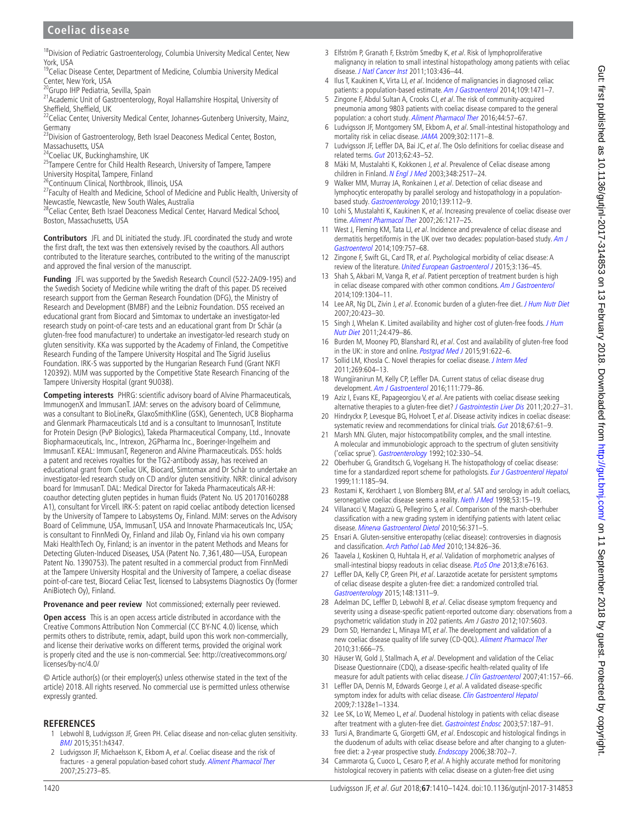# **Coeliac disease**

<sup>18</sup>Division of Pediatric Gastroenterology, Columbia University Medical Center, New

York, USA<br><sup>19</sup>Celiac Disease Center, Department of Medicine, Columbia University Medical<br>Center, New York, USA

Center, New York, 2006.<br><sup>21</sup>Academic Unit of Gastroenterology, Royal Hallamshire Hospital, University of <sup>21</sup>Academic Unit of Gastroenterology, Royal Hallamshire Hospital, University of Sheffield, Sheffield, UK<br><sup>22</sup>Celiac Center, University Medical Center, Johannes-Gutenberg University, Mainz,

Germany 23Division of Gastroenterology, Beth Israel Deaconess Medical Center, Boston, Massachusetts, USA<br><sup>24</sup>Coeliac UK, Buckinghamshire, UK<br><sup>25</sup>Tampere Centre for Child Health Research, University of Tampere, Tampere

University Hospital, Tampere, Finland<br><sup>26</sup>Continuum Clinical, Northbrook, Illinois, USA<br><sup>27</sup>Faculty of Health and Medicine, School of Medicine and Public Health, University of

Newcastle, Newcastle, New South Wales, Australia<br><sup>28</sup>Celiac Center, Beth Israel Deaconess Medical Center, Harvard Medical School,

Boston, Massachusetts, USA

**Contributors** JFL and DL initiated the study. JFL coordinated the study and wrote the first draft, the text was then extensively revised by the coauthors. All authors contributed to the literature searches, contributed to the writing of the manuscript and approved the final version of the manuscript.

**Funding** JFL was supported by the Swedish Research Council (522-2A09-195) and the Swedish Society of Medicine while writing the draft of this paper. DS received research support from the German Research Foundation (DFG), the Ministry of Research and Development (BMBF) and the Leibniz Foundation. DSS received an educational grant from Biocard and Simtomax to undertake an investigator-led research study on point-of-care tests and an educational grant from Dr Schär (a gluten-free food manufacturer) to undertake an investigator-led research study on gluten sensitivity. KKa was supported by the Academy of Finland, the Competitive Research Funding of the Tampere University Hospital and The Sigrid Juselius Foundation. IRK-S was supported by the Hungarian Research Fund (Grant NKFI 120392). MJM was supported by the Competitive State Research Financing of the Tampere University Hospital (grant 9U038).

**Competing interests** PHRG: scientific advisory board of Alvine Pharmaceuticals, ImmunogenX and ImmusanT. JAM: serves on the advisory board of Celimmune, was a consultant to BioLineRx, GlaxoSmithKline (GSK), Genentech, UCB Biopharma and Glenmark Pharmaceuticals Ltd and is a consultant to ImunnosanT, Institute for Protein Design (PvP Biologics), Takeda Pharmaceutical Company, Ltd., Innovate Biopharmaceuticals, Inc., Intrexon, 2GPharma Inc., Boeringer-Ingelheim and ImmusanT. KEAL: ImmusanT, Regeneron and Alvine Pharmaceuticals. DSS: holds a patent and receives royalties for the TG2-antibody assay, has received an educational grant from Coeliac UK, Biocard, Simtomax and Dr Schär to undertake an investigator-led research study on CD and/or gluten sensitivity. NRR: clinical advisory board for ImmusanT. DAL: Medical Director for Takeda Pharmaceuticals AR-H: coauthor detecting gluten peptides in human fluids (Patent No. US 20170160288 A1), consultant for Vircell. IRK-S: patent on rapid coeliac antibody detection licensed by the University of Tampere to Labsystems Oy, Finland. MJM: serves on the Advisory Board of Celimmune, USA, ImmusanT, USA and Innovate Pharmaceuticals Inc, USA; is consultant to FinnMedi Oy, Finland and Jilab Oy, Finland via his own company Maki HealthTech Oy, Finland; is an inventor in the patent Methods and Means for Detecting Gluten-Induced Diseases, USA (Patent No. 7,361,480—USA, European Patent No. 1390753). The patent resulted in a commercial product from FinnMedi at the Tampere University Hospital and the University of Tampere, a coeliac disease point-of-care test, Biocard Celiac Test, licensed to Labsystems Diagnostics Oy (former AniBiotech Oy), Finland.

**Provenance and peer review** Not commissioned; externally peer reviewed.

**Open access** This is an open access article distributed in accordance with the Creative Commons Attribution Non Commercial (CC BY-NC 4.0) license, which permits others to distribute, remix, adapt, build upon this work non-commercially, and license their derivative works on different terms, provided the original work is properly cited and the use is non-commercial. See: [http://creativecommons.org/](http://creativecommons.org/licenses/by-nc/4.0/) [licenses/by-nc/4.0/](http://creativecommons.org/licenses/by-nc/4.0/)

© Article author(s) (or their employer(s) unless otherwise stated in the text of the article) 2018. All rights reserved. No commercial use is permitted unless otherwise expressly granted.

# **References**

- <span id="page-10-0"></span>1 Lebwohl B, Ludvigsson JF, Green PH. Celiac disease and non-celiac gluten sensitivity. [BMJ](http://dx.doi.org/10.1136/bmj.h4347) 2015;351:h4347.
- <span id="page-10-1"></span>2 Ludvigsson JF, Michaelsson K, Ekbom A, et al. Coeliac disease and the risk of fractures - a general population-based cohort study. [Aliment Pharmacol Ther](http://dx.doi.org/10.1111/j.1365-2036.2006.03203.x) 2007;25:273–85.
- <span id="page-10-2"></span>3 Elfström P, Granath F, Ekström Smedby K, et al. Risk of lymphoproliferative malignancy in relation to small intestinal histopathology among patients with celiac disease. [J Natl Cancer Inst](http://dx.doi.org/10.1093/jnci/djq564) 2011;103:436–44.
- 4 Ilus T, Kaukinen K, Virta LJ, et al. Incidence of malignancies in diagnosed celiac patients: a population-based estimate. [Am J Gastroenterol](http://dx.doi.org/10.1038/ajg.2014.194) 2014;109:1471-7.
- <span id="page-10-3"></span>5 Zingone F, Abdul Sultan A, Crooks CJ, et al. The risk of community-acquired pneumonia among 9803 patients with coeliac disease compared to the general population: a cohort study. [Aliment Pharmacol Ther](http://dx.doi.org/10.1111/apt.13652) 2016;44:57–67.
- <span id="page-10-4"></span>6 Ludvigsson JF, Montgomery SM, Ekbom A, et al. Small-intestinal histopathology and mortality risk in celiac disease. [JAMA](http://dx.doi.org/10.1001/jama.2009.1320) 2009;302:1171–8.
- <span id="page-10-5"></span>7 Ludvigsson JF, Leffler DA, Bai JC, et al. The Oslo definitions for coeliac disease and related terms. [Gut](http://dx.doi.org/10.1136/gutjnl-2011-301346) 2013;62:43–52.
- <span id="page-10-6"></span>8 Mäki M, Mustalahti K, Kokkonen J, et al. Prevalence of Celiac disease among children in Finland. [N Engl J Med](http://dx.doi.org/10.1056/NEJMoa021687) 2003;348:2517-24.
- Walker MM, Murray JA, Ronkainen J, et al. Detection of celiac disease and lymphocytic enteropathy by parallel serology and histopathology in a population-based study. [Gastroenterology](http://dx.doi.org/10.1053/j.gastro.2010.04.007) 2010;139:112-9.
- <span id="page-10-7"></span>10 Lohi S, Mustalahti K, Kaukinen K, et al. Increasing prevalence of coeliac disease over time. [Aliment Pharmacol Ther](http://dx.doi.org/10.1111/j.1365-2036.2007.03502.x) 2007;26:1217-25.
- 11 West J, Fleming KM, Tata LJ, et al. Incidence and prevalence of celiac disease and dermatitis herpetiformis in the UK over two decades: population-based study. Am J [Gastroenterol](http://dx.doi.org/10.1038/ajg.2014.55) 2014;109:757–68.
- <span id="page-10-8"></span>12 Zingone F, Swift GL, Card TR, et al. Psychological morbidity of celiac disease: A review of the literature. [United European Gastroenterol J](http://dx.doi.org/10.1177/2050640614560786) 2015;3:136-45.
- <span id="page-10-9"></span>13 Shah S, Akbari M, Vanga R, et al. Patient perception of treatment burden is high in celiac disease compared with other common conditions. [Am J Gastroenterol](http://dx.doi.org/10.1038/ajg.2014.29) 2014;109:1304–11.
- <span id="page-10-10"></span>14 Lee AR, Ng DL, Zivin J, et al. Economic burden of a gluten-free diet. [J Hum Nutr Diet](http://dx.doi.org/10.1111/j.1365-277X.2007.00763.x) 2007;20:423–30.
- 15 Singh J, Whelan K. Limited availability and higher cost of gluten-free foods. J Hum [Nutr Diet](http://dx.doi.org/10.1111/j.1365-277X.2011.01160.x) 2011;24:479–86.
- 16 Burden M, Mooney PD, Blanshard RJ, et al. Cost and availability of gluten-free food in the UK: in store and online. [Postgrad Med J](http://dx.doi.org/10.1136/postgradmedj-2015-133395) 2015;91:622-6.
- <span id="page-10-11"></span>17 Sollid LM, Khosla C. Novel therapies for coeliac disease. [J Intern Med](http://dx.doi.org/10.1111/j.1365-2796.2011.02376.x) 2011;269:604–13.
- 18 Wungjiranirun M, Kelly CP, Leffler DA. Current status of celiac disease drug development. [Am J Gastroenterol](http://dx.doi.org/10.1038/ajg.2016.105) 2016;111:779-86.
- <span id="page-10-12"></span>19 Aziz I, Evans KE, Papageorgiou V, et al. Are patients with coeliac disease seeking alternative therapies to a gluten-free diet? [J Gastrointestin Liver Dis](http://www.ncbi.nlm.nih.gov/pubmed/21451794) 2011;20:27-31.
- <span id="page-10-13"></span>20 Hindryckx P, Levesque BG, Holvoet T, et al. Disease activity indices in coeliac disease: systematic review and recommendations for clinical trials. [Gut](http://dx.doi.org/10.1136/gutjnl-2016-312762) 2018;67:61-9.
- <span id="page-10-14"></span>21 Marsh MN. Gluten, major histocompatibility complex, and the small intestine. A molecular and immunobiologic approach to the spectrum of gluten sensitivity ('celiac sprue'). [Gastroenterology](http://www.ncbi.nlm.nih.gov/pubmed/1727768) 1992;102:330–54.
- 22 Oberhuber G, Granditsch G, Vogelsang H. The histopathology of coeliac disease: time for a standardized report scheme for pathologists. [Eur J Gastroenterol Hepatol](http://www.ncbi.nlm.nih.gov/pubmed/10524652) 1999;11:1185–94.
- 23 Rostami K, Kerckhaert J, von Blomberg BM, et al. SAT and serology in adult coeliacs, seronegative coeliac disease seems a reality. [Neth J Med](http://dx.doi.org/10.1016/S0300-2977(98)00050-3) 1998;53:15-19.
- 24 Villanacci V, Magazzù G, Pellegrino S, et al. Comparison of the marsh-oberhuber classification with a new grading system in identifying patients with latent celiac disease. [Minerva Gastroenterol Dietol](http://www.ncbi.nlm.nih.gov/pubmed/21139535) 2010;56:371-5.
- 25 Ensari A. Gluten-sensitive enteropathy (celiac disease): controversies in diagnosis and classification. [Arch Pathol Lab Med](http://dx.doi.org/10.1043/1543-2165-134.6.826) 2010;134:826–36.
- <span id="page-10-17"></span>26 Taavela J, Koskinen O, Huhtala H, et al. Validation of morphometric analyses of small-intestinal biopsy readouts in celiac disease. [PLoS One](http://dx.doi.org/10.1371/journal.pone.0076163) 2013;8:e76163.
- <span id="page-10-15"></span>27 Leffler DA, Kelly CP, Green PH, et al. Larazotide acetate for persistent symptoms of celiac disease despite a gluten-free diet: a randomized controlled trial. [Gastroenterology](http://dx.doi.org/10.1053/j.gastro.2015.02.008) 2015;148:1311–9.
- 28 Adelman DC, Leffler D, Lebwohl B, et al. Celiac disease symptom frequency and severity using a disease-specific patient-reported outcome diary: observations from a psychometric validation study in 202 patients. Am J Gastro 2012;107:S603.
- <span id="page-10-20"></span>29 Dorn SD, Hernandez L, Minaya MT, et al. The development and validation of a new coeliac disease quality of life survey (CD-QOL). [Aliment Pharmacol Ther](http://dx.doi.org/10.1111/j.1365-2036.2009.04220.x) 2010;31:666–75.
- <span id="page-10-19"></span>30 Häuser W, Gold J, Stallmach A, et al. Development and validation of the Celiac Disease Questionnaire (CDQ), a disease-specific health-related quality of life measure for adult patients with celiac disease. [J Clin Gastroenterol](http://dx.doi.org/10.1097/01.mcg.0000225516.05666.4e) 2007;41:157-66.
- <span id="page-10-18"></span>31 Leffler DA, Dennis M, Edwards George J, et al. A validated disease-specific symptom index for adults with celiac disease. [Clin Gastroenterol Hepatol](http://dx.doi.org/10.1016/j.cgh.2009.07.031) 2009;7:1328e1–1334.
- <span id="page-10-16"></span>32 Lee SK, Lo W, Memeo L, et al. Duodenal histology in patients with celiac disease after treatment with a gluten-free diet. [Gastrointest Endosc](http://dx.doi.org/10.1067/mge.2003.54) 2003;57:187-91.
- 33 Tursi A, Brandimarte G, Giorgetti GM, et al. Endoscopic and histological findings in the duodenum of adults with celiac disease before and after changing to a glutenfree diet: a 2-year prospective study. *[Endoscopy](http://dx.doi.org/10.1055/s-2006-925178)* 2006;38:702-7.
- 34 Cammarota G, Cuoco L, Cesaro P, et al. A highly accurate method for monitoring histological recovery in patients with celiac disease on a gluten-free diet using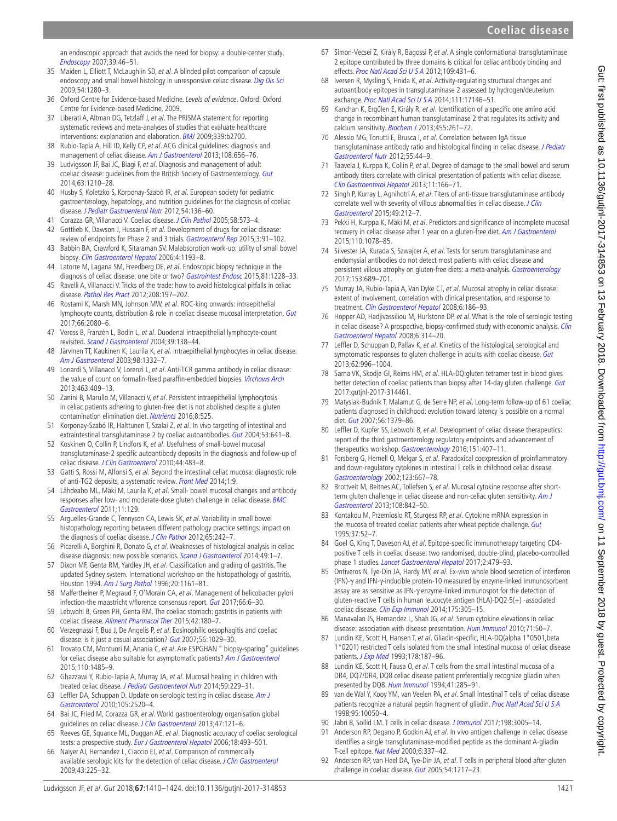an endoscopic approach that avoids the need for biopsy: a double-center study. [Endoscopy](http://dx.doi.org/10.1055/s-2006-945044) 2007;39:46–51.

- 35 Maiden L, Elliott T, McLaughlin SD, et al. A blinded pilot comparison of capsule endoscopy and small bowel histology in unresponsive celiac disease. [Dig Dis Sci](http://dx.doi.org/10.1007/s10620-008-0486-5) 2009;54:1280–3.
- <span id="page-11-0"></span>36 Oxford Centre for Evidence-based Medicine. Levels of evidence. Oxford: Oxford Centre for Evidence-based Medicine, 2009.
- <span id="page-11-1"></span>37 Liberati A, Altman DG, Tetzlaff J, et al. The PRISMA statement for reporting systematic reviews and meta-analyses of studies that evaluate healthcare interventions: explanation and elaboration. [BMJ](http://dx.doi.org/10.1136/bmj.b2700) 2009;339:b2700.
- <span id="page-11-4"></span>38 Rubio-Tapia A, Hill ID, Kelly CP, et al. ACG clinical guidelines: diagnosis and management of celiac disease. [Am J Gastroenterol](http://dx.doi.org/10.1038/ajg.2013.79) 2013;108:656–76.
- 39 Ludvigsson JF, Bai JC, Biagi F, et al. Diagnosis and management of adult coeliac disease: guidelines from the British Society of Gastroenterology. [Gut](http://dx.doi.org/10.1136/gutjnl-2013-306578) 2014;63:1210–28.
- <span id="page-11-2"></span>40 Husby S, Koletzko S, Korponay-Szabó IR, et al. European society for pediatric gastroenterology, hepatology, and nutrition guidelines for the diagnosis of coeliac disease. [J Pediatr Gastroenterol Nutr](http://dx.doi.org/10.1097/MPG.0b013e31821a23d0) 2012;54:136–60.
- <span id="page-11-3"></span>41 Corazza GR, Villanacci V. Coeliac disease. [J Clin Pathol](http://dx.doi.org/10.1136/jcp.2004.023978) 2005;58:573-4.
- 42 Gottlieb K, Dawson J, Hussain F, et al. Development of drugs for celiac disease: review of endpoints for Phase 2 and 3 trials. [Gastroenterol Rep](http://dx.doi.org/10.1093/gastro/gov006) 2015;3:91-102.
- <span id="page-11-5"></span>43 Babbin BA, Crawford K, Sitaraman SV. Malabsorption work-up: utility of small bowel biopsy. [Clin Gastroenterol Hepatol](http://dx.doi.org/10.1016/j.cgh.2006.07.022) 2006;4:1193–8.
- <span id="page-11-6"></span>44 Latorre M, Lagana SM, Freedberg DE, et al. Endoscopic biopsy technique in the diagnosis of celiac disease: one bite or two? [Gastrointest Endosc](http://dx.doi.org/10.1016/j.gie.2014.10.024) 2015;81:1228-33.
- <span id="page-11-7"></span>45 Ravelli A, Villanacci V. Tricks of the trade: how to avoid histological pitfalls in celiac disease. [Pathol Res Pract](http://dx.doi.org/10.1016/j.prp.2012.01.008) 2012;208:197–202.
- 46 Rostami K, Marsh MN, Johnson MW, et al. ROC-king onwards: intraepithelial lymphocyte counts, distribution & role in coeliac disease mucosal interpretation. [Gut](http://dx.doi.org/10.1136/gutjnl-2017-314297) 2017;66:2080–6.
- 47 Veress B, Franzén L, Bodin L, et al. Duodenal intraepithelial lymphocyte-count revisited. [Scand J Gastroenterol](http://dx.doi.org/10.1080/00365520310007675) 2004;39:138–44.
- <span id="page-11-8"></span>48 Järvinen TT, Kaukinen K, Laurila K, et al. Intraepithelial lymphocytes in celiac disease. [Am J Gastroenterol](http://dx.doi.org/10.1111/j.1572-0241.2003.07456.x) 2003;98:1332–7.
- <span id="page-11-9"></span>49 Lonardi S, Villanacci V, Lorenzi L, et al. Anti-TCR gamma antibody in celiac disease: the value of count on formalin-fixed paraffin-embedded biopsies. [Virchows Arch](http://dx.doi.org/10.1007/s00428-013-1448-7) 2013;463:409–13.
- 50 Zanini B, Marullo M, Villanacci V, et al. Persistent intraepithelial lymphocytosis in celiac patients adhering to gluten-free diet is not abolished despite a gluten contamination elimination diet. [Nutrients](http://dx.doi.org/10.3390/nu8090525) 2016;8:525.
- <span id="page-11-10"></span>51 Korponay-Szabó IR, Halttunen T, Szalai Z, et al. In vivo targeting of intestinal and extraintestinal transglutaminase 2 by coeliac autoantibodies. [Gut](http://dx.doi.org/10.1136/gut.2003.024836) 2004;53:641-8.
- <span id="page-11-11"></span>52 Koskinen O, Collin P, Lindfors K, et al. Usefulness of small-bowel mucosal transglutaminase-2 specific autoantibody deposits in the diagnosis and follow-up of celiac disease. [J Clin Gastroenterol](http://dx.doi.org/10.1097/MCG.0b013e3181b64557) 2010;44:483-8.
- <span id="page-11-12"></span>53 Gatti S, Rossi M, Alfonsi S, et al. Beyond the intestinal celiac mucosa: diagnostic role of anti-TG2 deposits, a systematic review. [Front Med](http://dx.doi.org/10.3389/fmed.2014.00009) 2014;1:9.
- <span id="page-11-13"></span>54 Lähdeaho ML, Mäki M, Laurila K, et al. Small- bowel mucosal changes and antibody responses after low- and moderate-dose gluten challenge in celiac disease. [BMC](http://dx.doi.org/10.1186/1471-230X-11-129)  [Gastroenterol](http://dx.doi.org/10.1186/1471-230X-11-129) 2011;11:129.
- 55 Arguelles-Grande C, Tennyson CA, Lewis SK, et al. Variability in small bowel histopathology reporting between different pathology practice settings: impact on the diagnosis of coeliac disease. [J Clin Pathol](http://dx.doi.org/10.1136/jclinpath-2011-200372) 2012;65:242-7.
- <span id="page-11-14"></span>56 Picarelli A, Borghini R, Donato G, et al. Weaknesses of histological analysis in celiac disease diagnosis: new possible scenarios. [Scand J Gastroenterol](http://dx.doi.org/10.3109/00365521.2014.948052) 2014;49:1-7.
- <span id="page-11-15"></span>57 Dixon MF, Genta RM, Yardley JH, et al. Classification and grading of gastritis. The updated Sydney system. International workshop on the histopathology of gastritis, Houston 1994. [Am J Surg Pathol](http://www.ncbi.nlm.nih.gov/pubmed/8827022) 1996;20:1161–81.
- 58 Malfertheiner P, Megraud F, O'Morain CA, et al. Management of helicobacter pylori infection-the maastricht v/florence consensus report. [Gut](http://dx.doi.org/10.1136/gutjnl-2016-312288) 2017;66:6–30.
- <span id="page-11-16"></span>59 Lebwohl B, Green PH, Genta RM. The coeliac stomach: gastritis in patients with coeliac disease. [Aliment Pharmacol Ther](http://dx.doi.org/10.1111/apt.13249) 2015;42:180–7.
- <span id="page-11-17"></span>60 Verzegnassi F, Bua J, De Angelis P, et al. Eosinophilic oesophagitis and coeliac disease: is it just a casual association? [Gut](http://dx.doi.org/10.1136/gut.2006.117986) 2007;56:1029-30.
- <span id="page-11-18"></span>61 Trovato CM, Montuori M, Anania C, et al. Are ESPGHAN " biopsy-sparing" guidelines for celiac disease also suitable for asymptomatic patients? [Am J Gastroenterol](http://dx.doi.org/10.1038/ajg.2015.285) 2015;110:1485–9.
- <span id="page-11-19"></span>62 Ghazzawi Y, Rubio-Tapia A, Murray JA, et al. Mucosal healing in children with treated celiac disease. [J Pediatr Gastroenterol Nutr](http://dx.doi.org/10.1097/MPG.0000000000000390) 2014;59:229-31.
- 63 Leffler DA, Schuppan D. Update on serologic testing in celiac disease. [Am J](http://dx.doi.org/10.1038/ajg.2010.276)  [Gastroenterol](http://dx.doi.org/10.1038/ajg.2010.276) 2010;105:2520–4.
- 64 Bai JC, Fried M, Corazza GR, et al. World gastroenterology organisation global guidelines on celiac disease. [J Clin Gastroenterol](http://dx.doi.org/10.1097/MCG.0b013e31827a6f83) 2013;47:121-6.
- <span id="page-11-20"></span>65 Reeves GE, Squance ML, Duggan AE, et al. Diagnostic accuracy of coeliac serological tests: a prospective study. [Eur J Gastroenterol Hepatol](http://dx.doi.org/10.1097/00042737-200605000-00006) 2006;18:493-501.
- 66 Naiyer AJ, Hernandez L, Ciaccio EJ, et al. Comparison of commercially available serologic kits for the detection of celiac disease. [J Clin Gastroenterol](http://dx.doi.org/10.1097/MCG.0b013e31816200e5) 2009;43:225–32.
- <span id="page-11-21"></span>67 Simon-Vecsei Z, Király R, Bagossi P, et al. A single conformational transglutaminase 2 epitope contributed by three domains is critical for celiac antibody binding and effects. [Proc Natl Acad Sci U S A](http://dx.doi.org/10.1073/pnas.1107811108) 2012;109:431–6.
- 68 Iversen R, Mysling S, Hnida K, et al. Activity-regulating structural changes and autoantibody epitopes in transglutaminase 2 assessed by hydrogen/deuterium exchange. [Proc Natl Acad Sci U S A](http://dx.doi.org/10.1073/pnas.1407457111) 2014;111:17146-51.
- 69 Kanchan K, Ergülen E, Király R, et al. Identification of a specific one amino acid change in recombinant human transglutaminase 2 that regulates its activity and calcium sensitivity. [Biochem J](http://dx.doi.org/10.1042/BJ20130696) 2013;455:261-72.
- <span id="page-11-22"></span>70 Alessio MG, Tonutti E, Brusca I, et al. Correlation between IgA tissue transglutaminase antibody ratio and histological finding in celiac disease. J Pediatr [Gastroenterol Nutr](http://dx.doi.org/10.1097/MPG.0b013e3182470249) 2012;55:44–9.
- 71 Taavela J, Kurppa K, Collin P, et al. Degree of damage to the small bowel and serum antibody titers correlate with clinical presentation of patients with celiac disease. [Clin Gastroenterol Hepatol](http://dx.doi.org/10.1016/j.cgh.2012.09.030) 2013;11:166–71.
- 72 Singh P, Kurray L, Agnihotri A, et al. Titers of anti-tissue transglutaminase antibody correlate well with severity of villous abnormalities in celiac disease. J Clin [Gastroenterol](http://dx.doi.org/10.1097/MCG.0000000000000105) 2015;49:212-7.
- 73 Pekki H, Kurppa K, Mäki M, et al. Predictors and significance of incomplete mucosal recovery in celiac disease after 1 year on a gluten-free diet. [Am J Gastroenterol](http://dx.doi.org/10.1038/ajg.2015.155) 2015;110:1078–85.
- <span id="page-11-23"></span>74 Silvester JA, Kurada S, Szwajcer A, et al. Tests for serum transglutaminase and endomysial antibodies do not detect most patients with celiac disease and persistent villous atrophy on gluten-free diets: a meta-analysis. [Gastroenterology](http://dx.doi.org/10.1053/j.gastro.2017.05.015) 2017;153:689–701.
- <span id="page-11-24"></span>75 Murray JA, Rubio-Tapia A, Van Dyke CT, et al. Mucosal atrophy in celiac disease: extent of involvement, correlation with clinical presentation, and response to treatment. [Clin Gastroenterol Hepatol](http://dx.doi.org/10.1016/j.cgh.2007.10.012) 2008;6:186–93.
- <span id="page-11-25"></span>76 Hopper AD, Hadjivassiliou M, Hurlstone DP, et al. What is the role of serologic testing in celiac disease? A prospective, biopsy-confirmed study with economic analysis. [Clin](http://dx.doi.org/10.1016/j.cgh.2007.12.008)  [Gastroenterol Hepatol](http://dx.doi.org/10.1016/j.cgh.2007.12.008) 2008;6:314–20.
- <span id="page-11-26"></span>77 Leffler D, Schuppan D, Pallav K, et al. Kinetics of the histological, serological and symptomatic responses to gluten challenge in adults with coeliac disease. [Gut](http://dx.doi.org/10.1136/gutjnl-2012-302196) 2013;62:996–1004.
- <span id="page-11-27"></span>78 Sarna VK, Skodje GI, Reims HM, et al. HLA-DQ:gluten tetramer test in blood gives better detection of coeliac patients than biopsy after 14-day gluten challenge. [Gut](http://dx.doi.org/10.1136/gutjnl-2017-314461) 2017:gutjnl-2017-314461.
- <span id="page-11-29"></span>79 Matysiak-Budnik T, Malamut G, de Serre NP, et al. Long-term follow-up of 61 coeliac patients diagnosed in childhood: evolution toward latency is possible on a normal diet. [Gut](http://dx.doi.org/10.1136/gut.2006.100511) 2007;56:1379–86.
- <span id="page-11-30"></span>80 Leffler D, Kupfer SS, Lebwohl B, et al. Development of celiac disease therapeutics: report of the third gastroenterology regulatory endpoints and advancement of therapeutics workshop. [Gastroenterology](http://dx.doi.org/10.1053/j.gastro.2016.07.025) 2016;151:407-11.
- <span id="page-11-31"></span>81 Forsberg G, Hernell O, Melgar S, et al. Paradoxical coexpression of proinflammatory and down-regulatory cytokines in intestinal T cells in childhood celiac disease. [Gastroenterology](http://dx.doi.org/10.1053/gast.2002.35355) 2002;123:667–78.
- <span id="page-11-28"></span>82 Brottveit M, Beitnes AC, Tollefsen S, et al. Mucosal cytokine response after shortterm gluten challenge in celiac disease and non-celiac gluten sensitivity. Am J [Gastroenterol](http://dx.doi.org/10.1038/ajg.2013.91) 2013;108:842–50.
- 83 Kontakou M, Przemioslo RT, Sturgess RP, et al. Cytokine mRNA expression in the mucosa of treated coeliac patients after wheat peptide challenge. [Gut](http://dx.doi.org/10.1136/gut.37.1.52) 1995;37:52–7.
- <span id="page-11-32"></span>84 Goel G, King T, Daveson AJ, et al. Epitope-specific immunotherapy targeting CD4positive T cells in coeliac disease: two randomised, double-blind, placebo-controlled phase 1 studies. [Lancet Gastroenterol Hepatol](http://dx.doi.org/10.1016/S2468-1253(17)30110-3) 2017;2:479-93.
- 85 Ontiveros N, Tye-Din JA, Hardy MY, et al. Ex-vivo whole blood secretion of interferon (IFN)-γ and IFN-γ-inducible protein-10 measured by enzyme-linked immunosorbent assay are as sensitive as IFN-γ enzyme-linked immunospot for the detection of gluten-reactive T cells in human leucocyte antigen (HLA)-DQ2·5(+) -associated coeliac disease. [Clin Exp Immunol](http://dx.doi.org/10.1111/cei.12232) 2014;175:305-15.
- <span id="page-11-33"></span>86 Manavalan JS, Hernandez L, Shah JG, et al. Serum cytokine elevations in celiac disease: association with disease presentation. [Hum Immunol](http://dx.doi.org/10.1016/j.humimm.2009.09.351) 2010;71:50-7.
- <span id="page-11-34"></span>87 Lundin KE, Scott H, Hansen T, et al. Gliadin-specific, HLA-DQ(alpha 1\*0501, beta 1\*0201) restricted T cells isolated from the small intestinal mucosa of celiac disease patients. [J Exp Med](http://dx.doi.org/10.1084/jem.178.1.187) 1993;178:187-96.
- 88 Lundin KE, Scott H, Fausa O, et al. T cells from the small intestinal mucosa of a DR4, DQ7/DR4, DQ8 celiac disease patient preferentially recognize gliadin when presented by DQ8. [Hum Immunol](http://dx.doi.org/10.1016/0198-8859(94)90047-7) 1994;41:285–91.
- 89 van de Wal Y, Kooy YM, van Veelen PA, et al. Small intestinal T cells of celiac disease patients recognize a natural pepsin fragment of gliadin. [Proc Natl Acad Sci U S A](http://dx.doi.org/10.1073/pnas.95.17.10050) 1998;95:10050–4.
- 90 Jabri B, Sollid LM. T cells in celiac disease. [J Immunol](http://dx.doi.org/10.4049/jimmunol.1601693) 2017;198:3005-14.
- <span id="page-11-35"></span>91 Anderson RP, Degano P, Godkin AJ, et al. In vivo antigen challenge in celiac disease identifies a single transglutaminase-modified peptide as the dominant A-gliadin T-cell epitope. [Nat Med](http://dx.doi.org/10.1038/73200) 2000;6:337–42.
- 92 Anderson RP, van Heel DA, Tye-Din JA, et al. T cells in peripheral blood after gluten challenge in coeliac disease. [Gut](http://dx.doi.org/10.1136/gut.2004.059998) 2005;54:1217-23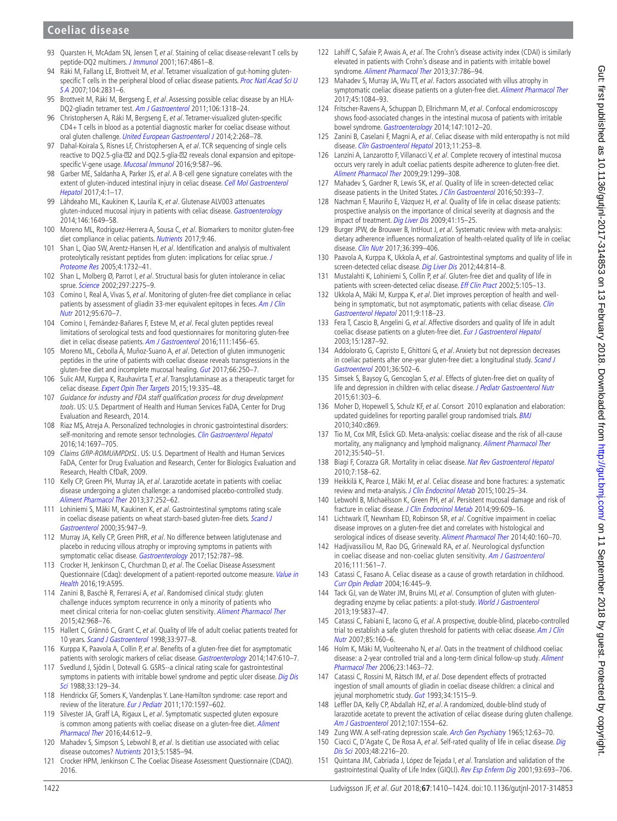# **Coeliac disease**

- <span id="page-12-5"></span>93 Quarsten H, McAdam SN, Jensen T, et al. Staining of celiac disease-relevant T cells by peptide-DQ2 multimers. [J Immunol](http://dx.doi.org/10.4049/jimmunol.167.9.4861) 2001;167:4861-8.
- 94 Ráki M, Fallang LE, Brottveit M, et al. Tetramer visualization of gut-homing glutenspecific T cells in the peripheral blood of celiac disease patients. Proc Natl Acad Sci U [S A](http://dx.doi.org/10.1073/pnas.0608610104) 2007;104:2831–6.
- <span id="page-12-6"></span>95 Brottveit M, Ráki M, Bergseng E, et al. Assessing possible celiac disease by an HLA-DQ2-gliadin tetramer test. [Am J Gastroenterol](http://dx.doi.org/10.1038/ajg.2011.23) 2011;106:1318–24.
- <span id="page-12-7"></span>96 Christophersen A, Ráki M, Bergseng E, et al. Tetramer-visualized gluten-specific CD4+ T cells in blood as a potential diagnostic marker for coeliac disease without oral gluten challenge. [United European Gastroenterol J](http://dx.doi.org/10.1177/2050640614540154) 2014;2:268-78.
- <span id="page-12-8"></span>97 Dahal-Koirala S, Risnes LF, Christophersen A, et al. TCR sequencing of single cells reactive to DQ2.5-glia-2 and DQ2.5-glia-2 reveals clonal expansion and epitope-specific V-gene usage. [Mucosal Immunol](http://dx.doi.org/10.1038/mi.2015.147) 2016;9:587-96.
- <span id="page-12-9"></span>98 Garber ME, Saldanha A, Parker JS, et al. A B-cell gene signature correlates with the extent of gluten-induced intestinal injury in celiac disease. Cell Mol Gastroenterol [Hepatol](http://dx.doi.org/10.1016/j.jcmgh.2017.01.011) 2017;4:1–17.
- <span id="page-12-0"></span>99 Lähdeaho ML, Kaukinen K, Laurila K, et al. Glutenase ALV003 attenuates gluten-induced mucosal injury in patients with celiac disease. [Gastroenterology](http://dx.doi.org/10.1053/j.gastro.2014.02.031) 2014;146:1649–58.
- <span id="page-12-10"></span>100 Moreno ML, Rodríguez-Herrera A, Sousa C, et al. Biomarkers to monitor gluten-free diet compliance in celiac patients. [Nutrients](http://dx.doi.org/10.3390/nu9010046) 2017;9:46.
- <span id="page-12-11"></span>101 Shan L, Qiao SW, Arentz-Hansen H, et al. Identification and analysis of multivalent proteolytically resistant peptides from gluten: implications for celiac sprue. [J](http://dx.doi.org/10.1021/pr050173t)  [Proteome Res](http://dx.doi.org/10.1021/pr050173t) 2005;4:1732–41.
- 102 Shan L, Molberg Ø, Parrot I, et al. Structural basis for gluten intolerance in celiac sprue. [Science](http://dx.doi.org/10.1126/science.1074129) 2002;297:2275-9.
- <span id="page-12-12"></span>103 Comino I, Real A, Vivas S, et al. Monitoring of gluten-free diet compliance in celiac patients by assessment of gliadin 33-mer equivalent epitopes in feces. Am J Clin [Nutr](http://dx.doi.org/10.3945/ajcn.111.026708) 2012;95:670–7.
- <span id="page-12-13"></span>104 Comino I, Fernández-Bañares F, Esteve M, et al. Fecal gluten peptides reveal limitations of serological tests and food questionnaires for monitoring gluten-free diet in celiac disease patients. [Am J Gastroenterol](http://dx.doi.org/10.1038/ajg.2016.439) 2016;111:1456-65.
- <span id="page-12-14"></span>105 Moreno ML, Cebolla Á, Muñoz-Suano A, et al. Detection of gluten immunogenic peptides in the urine of patients with coeliac disease reveals transgressions in the gluten-free diet and incomplete mucosal healing. [Gut](http://dx.doi.org/10.1136/gutjnl-2015-310148) 2017;66:250–7.
- <span id="page-12-15"></span>106 Sulic AM, Kurppa K, Rauhavirta T, et al. Transglutaminase as a therapeutic target for celiac disease. [Expert Opin Ther Targets](http://dx.doi.org/10.1517/14728222.2014.985207) 2015;19:335-48.
- <span id="page-12-16"></span>107 Guidance for industry and FDA staff qualification process for drug development tools. US: U.S. Department of Health and Human Services FaDA, Center for Drug Evaluation and Research, 2014.
- <span id="page-12-17"></span>108 Riaz MS, Atreja A. Personalized technologies in chronic gastrointestinal disorders: self-monitoring and remote sensor technologies. [Clin Gastroenterol Hepatol](http://dx.doi.org/10.1016/j.cgh.2016.05.009) 2016;14:1697–705.
- <span id="page-12-18"></span>109 Claims GfIP-ROMUiMPDtSL. US: U.S. Department of Health and Human Services FaDA, Center for Drug Evaluation and Research, Center for Biologics Evaluation and Research, Health CfDaR, 2009.
- <span id="page-12-19"></span>110 Kelly CP, Green PH, Murray JA, et al. Larazotide acetate in patients with coeliac disease undergoing a gluten challenge: a randomised placebo-controlled study. [Aliment Pharmacol Ther](http://dx.doi.org/10.1111/apt.12147) 2013;37:252–62.
- 111 Lohiniemi S, Mäki M, Kaukinen K, et al. Gastrointestinal symptoms rating scale in coeliac disease patients on wheat starch-based gluten-free diets. Scand J [Gastroenterol](http://www.ncbi.nlm.nih.gov/pubmed/11063154) 2000;35:947–9.
- <span id="page-12-20"></span>112 Murray JA, Kelly CP, Green PHR, et al. No difference between latiglutenase and placebo in reducing villous atrophy or improving symptoms in patients with symptomatic celiac disease. [Gastroenterology](http://dx.doi.org/10.1053/j.gastro.2016.11.004) 2017;152:787–98.
- <span id="page-12-21"></span>113 Crocker H, Jenkinson C, Churchman D, et al. The Coeliac Disease Assessment Questionnaire (Cdaq): development of a patient-reported outcome measure. Value in [Health](http://dx.doi.org/10.1016/j.jval.2016.09.1429) 2016;19:A595.
- 114 Zanini B, Baschè R, Ferraresi A, et al. Randomised clinical study: gluten challenge induces symptom recurrence in only a minority of patients who meet clinical criteria for non-coeliac gluten sensitivity. [Aliment Pharmacol Ther](http://dx.doi.org/10.1111/apt.13372) 2015;42:968–76.
- <span id="page-12-41"></span>115 Hallert C, Grännö C, Grant C, et al. Quality of life of adult coeliac patients treated for 10 years. [Scand J Gastroenterol](http://dx.doi.org/10.1097/00042737-199811000-00015) 1998;33:977–8.
- <span id="page-12-32"></span>116 Kurppa K, Paavola A, Collin P, et al. Benefits of a gluten-free diet for asymptomatic patients with serologic markers of celiac disease. [Gastroenterology](http://dx.doi.org/10.1053/j.gastro.2014.05.003) 2014;147:610-7.
- <span id="page-12-22"></span>117 Svedlund J, Sjödin I, Dotevall G. GSRS--a clinical rating scale for gastrointestinal symptoms in patients with irritable bowel syndrome and peptic ulcer disease. Dig Dis [Sci](http://dx.doi.org/10.1007/BF01535722) 1988;33:129–34.
- <span id="page-12-23"></span>118 Hendrickx GF, Somers K, Vandenplas Y. Lane-Hamilton syndrome: case report and review of the literature. [Eur J Pediatr](http://dx.doi.org/10.1007/s00431-011-1568-5) 2011;170:1597-602.
- <span id="page-12-24"></span>119 Silvester JA, Graff LA, Rigaux L, et al. Symptomatic suspected gluten exposure is common among patients with coeliac disease on a gluten-free diet. Aliment [Pharmacol Ther](http://dx.doi.org/10.1111/apt.13725) 2016;44:612–9.
- 120 Mahadev S, Simpson S, Lebwohl B, et al. Is dietitian use associated with celiac disease outcomes? [Nutrients](http://dx.doi.org/10.3390/nu5051585) 2013;5:1585-94.
- <span id="page-12-25"></span>121 Crocker HPM, Jenkinson C. The Coeliac Disease Assessment Questionnaire (CDAQ). 2016.
- <span id="page-12-27"></span>122 Lahiff C, Safaie P, Awais A, et al. The Crohn's disease activity index (CDAI) is similarly elevated in patients with Crohn's disease and in patients with irritable bowel syndrome. [Aliment Pharmacol Ther](http://dx.doi.org/10.1111/apt.12262) 2013;37:786–94.
- 123 Mahadev S, Murray JA, Wu TT, et al. Factors associated with villus atrophy in symptomatic coeliac disease patients on a gluten-free diet. [Aliment Pharmacol Ther](http://dx.doi.org/10.1111/apt.13988) 2017;45:1084–93.
- <span id="page-12-28"></span>124 Fritscher-Ravens A, Schuppan D, Ellrichmann M, et al. Confocal endomicroscopy shows food-associated changes in the intestinal mucosa of patients with irritable bowel syndrome. [Gastroenterology](http://dx.doi.org/10.1053/j.gastro.2014.07.046) 2014;147:1012–20.
- 125 Zanini B, Caselani F, Magni A, et al. Celiac disease with mild enteropathy is not mild disease. [Clin Gastroenterol Hepatol](http://dx.doi.org/10.1016/j.cgh.2012.09.027) 2013;11:253–8.
- <span id="page-12-29"></span>126 Lanzini A, Lanzarotto F, Villanacci V, et al. Complete recovery of intestinal mucosa occurs very rarely in adult coeliac patients despite adherence to gluten-free diet. [Aliment Pharmacol Ther](http://dx.doi.org/10.1111/j.1365-2036.2009.03992.x) 2009;29:1299–308.
- <span id="page-12-38"></span>127 Mahadev S, Gardner R, Lewis SK, et al. Quality of life in screen-detected celiac disease patients in the United States. [J Clin Gastroenterol](http://dx.doi.org/10.1097/MCG.0000000000000433) 2016;50:393-7.
- <span id="page-12-30"></span>128 Nachman F, Mauriño E, Vázquez H, et al. Quality of life in celiac disease patients: prospective analysis on the importance of clinical severity at diagnosis and the impact of treatment. [Dig Liver Dis](http://dx.doi.org/10.1016/j.dld.2008.05.011) 2009;41:15-25.
- <span id="page-12-31"></span>129 Burger JPW, de Brouwer B, IntHout J, et al. Systematic review with meta-analysis: dietary adherence influences normalization of health-related quality of life in coeliac disease. [Clin Nutr](http://dx.doi.org/10.1016/j.clnu.2016.04.021) 2017;36:399-406.
- <span id="page-12-39"></span>130 Paavola A, Kurppa K, Ukkola A, et al. Gastrointestinal symptoms and quality of life in screen-detected celiac disease. [Dig Liver Dis](http://dx.doi.org/10.1016/j.dld.2012.04.019) 2012;44:814-8.
- <span id="page-12-37"></span>131 Mustalahti K, Lohiniemi S, Collin P, et al. Gluten-free diet and quality of life in patients with screen-detected celiac disease. *[Eff Clin Pract](http://www.ncbi.nlm.nih.gov/pubmed/12088289)* 2002;5:105-13.
- <span id="page-12-40"></span>132 Ukkola A, Mäki M, Kurppa K, et al. Diet improves perception of health and wellbeing in symptomatic, but not asymptomatic, patients with celiac disease. Clin [Gastroenterol Hepatol](http://dx.doi.org/10.1016/j.cgh.2010.10.011) 2011;9:118–23.
- 133 Fera T, Cascio B, Angelini G, et al. Affective disorders and quality of life in adult coeliac disease patients on a gluten-free diet. [Eur J Gastroenterol Hepatol](http://dx.doi.org/10.1097/00042737-200312000-00006) 2003;15:1287–92.
- <span id="page-12-33"></span>134 Addolorato G, Capristo E, Ghittoni G, et al. Anxiety but not depression decreases in coeliac patients after one-year gluten-free diet: a longitudinal study. Scand J [Gastroenterol](http://dx.doi.org/10.1080/00365520119754) 2001;36:502–6.
- <span id="page-12-44"></span>135 Simsek S, Baysoy G, Gencoglan S, et al. Effects of gluten-free diet on quality of life and depression in children with celiac disease. [J Pediatr Gastroenterol Nutr](http://dx.doi.org/10.1097/MPG.0000000000000799) 2015;61:303–6.
- <span id="page-12-42"></span>136 Moher D, Hopewell S, Schulz KF, et al. Consort 2010 explanation and elaboration: updated quidelines for reporting parallel group randomised trials. **[BMJ](http://dx.doi.org/10.1136/bmj.c869)** 2010;340:c869.
- 137 Tio M, Cox MR, Eslick GD. Meta-analysis: coeliac disease and the risk of all-cause mortality, any malignancy and lymphoid malignancy. [Aliment Pharmacol Ther](http://dx.doi.org/10.1111/j.1365-2036.2011.04972.x) 2012;35:540–51.
- 138 Biagi F, Corazza GR. Mortality in celiac disease. [Nat Rev Gastroenterol Hepatol](http://dx.doi.org/10.1038/nrgastro.2010.2) 2010;7:158–62.
- <span id="page-12-43"></span>139 Heikkilä K, Pearce J, Mäki M, et al. Celiac disease and bone fractures: a systematic review and meta-analysis. [J Clin Endocrinol Metab](http://dx.doi.org/10.1210/jc.2014-1858) 2015;100:25–34.
- 140 Lebwohl B, Michaëlsson K, Green PH, et al. Persistent mucosal damage and risk of fracture in celiac disease. [J Clin Endocrinol Metab](http://dx.doi.org/10.1210/jc.2013-3164) 2014;99:609-16.
- 141 Lichtwark IT, Newnham ED, Robinson SR, et al. Cognitive impairment in coeliac disease improves on a gluten-free diet and correlates with histological and serological indices of disease severity. [Aliment Pharmacol Ther](http://dx.doi.org/10.1111/apt.12809) 2014;40:160-70.
- 142 Hadjivassiliou M, Rao DG, Grìnewald RA, et al. Neurological dysfunction in coeliac disease and non-coeliac gluten sensitivity. [Am J Gastroenterol](http://dx.doi.org/10.1038/ajg.2015.434) 2016;111:561–7.
- 143 Catassi C, Fasano A. Celiac disease as a cause of growth retardation in childhood. [Curr Opin Pediatr](http://dx.doi.org/10.1097/01.mop.0000133637.64414.20) 2004;16:445–9.
- <span id="page-12-1"></span>144 Tack GJ, van de Water JM, Bruins MJ, et al. Consumption of gluten with gluten-degrading enzyme by celiac patients: a pilot-study. [World J Gastroenterol](http://dx.doi.org/10.3748/wjg.v19.i35.5837) 2013;19:5837–47.
- <span id="page-12-2"></span>145 Catassi C, Fabiani E, Iacono G, et al. A prospective, double-blind, placebo-controlled trial to establish a safe gluten threshold for patients with celiac disease. Am J Clin [Nutr](http://www.ncbi.nlm.nih.gov/pubmed/17209192) 2007;85:160–6.
- <span id="page-12-3"></span>146 Holm K, Mäki M, Vuolteenaho N, et al. Oats in the treatment of childhood coeliac disease: a 2-year controlled trial and a long-term clinical follow-up study. [Aliment](http://dx.doi.org/10.1111/j.1365-2036.2006.02908.x)  [Pharmacol Ther](http://dx.doi.org/10.1111/j.1365-2036.2006.02908.x) 2006;23:1463–72.
- <span id="page-12-4"></span>147 Catassi C, Rossini M, Rätsch IM, et al. Dose dependent effects of protracted ingestion of small amounts of gliadin in coeliac disease children: a clinical and jejunal morphometric study. [Gut](http://dx.doi.org/10.1136/gut.34.11.1515) 1993;34:1515-9.
- <span id="page-12-26"></span>148 Leffler DA, Kelly CP, Abdallah HZ, et al. A randomized, double-blind study of larazotide acetate to prevent the activation of celiac disease during gluten challenge. [Am J Gastroenterol](http://dx.doi.org/10.1038/ajg.2012.211) 2012;107:1554–62.
- <span id="page-12-34"></span>149 Zung WW. A self-rating depression scale. [Arch Gen Psychiatry](http://dx.doi.org/10.1001/archpsyc.1965.01720310065008) 1965;12:63-70.
- <span id="page-12-35"></span>150 Ciacci C, D'Agate C, De Rosa A, et al. Self-rated quality of life in celiac disease. Dig [Dis Sci](http://dx.doi.org/10.1023/B:DDAS.0000004530.11738.a2) 2003;48:2216-20.
- <span id="page-12-36"></span>151 Quintana JM, Cabriada J, López de Tejada I, et al. Translation and validation of the gastrointestinal Quality of Life Index (GIQLI). [Rev Esp Enferm Dig](http://www.ncbi.nlm.nih.gov/pubmed/11995369) 2001;93:693-706.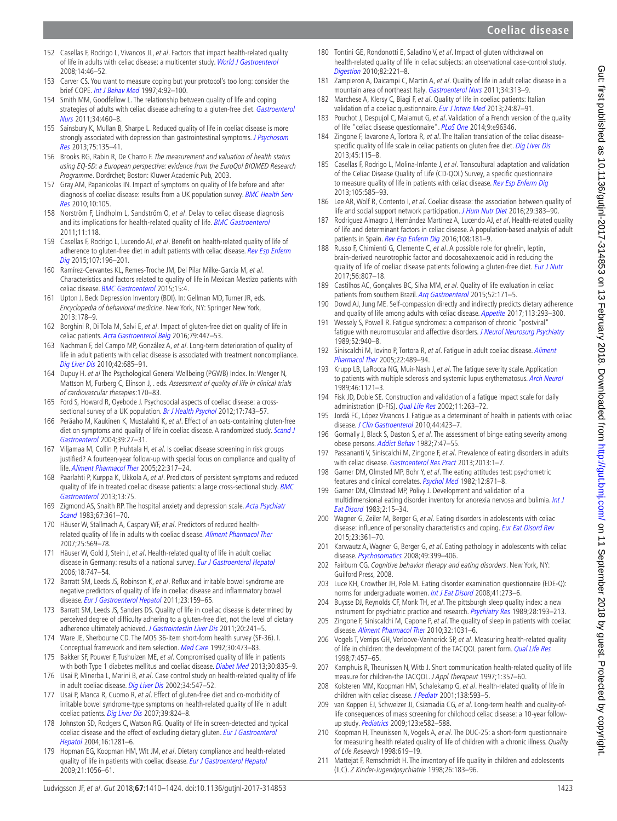- <span id="page-13-0"></span>152 Casellas F, Rodrigo L, Vivancos JL, et al. Factors that impact health-related quality of life in adults with celiac disease: a multicenter study. [World J Gastroenterol](http://dx.doi.org/10.3748/wjg.14.46) 2008;14:46–52.
- <span id="page-13-1"></span>153 Carver CS. You want to measure coping but your protocol's too long: consider the brief COPE. [Int J Behav Med](http://dx.doi.org/10.1207/s15327558ijbm0401_6) 1997;4:92–100.
- <span id="page-13-2"></span>154 Smith MM, Goodfellow L. The relationship between quality of life and coping strategies of adults with celiac disease adhering to a gluten-free diet. [Gastroenterol](http://dx.doi.org/10.1097/SGA.0b013e318237d201)  [Nurs](http://dx.doi.org/10.1097/SGA.0b013e318237d201) 2011;34:460–8.
- <span id="page-13-3"></span>155 Sainsbury K, Mullan B, Sharpe L. Reduced quality of life in coeliac disease is more strongly associated with depression than gastrointestinal symptoms. *J Psychosom* [Res](http://dx.doi.org/10.1016/j.jpsychores.2013.05.011) 2013;75:135–41.
- <span id="page-13-4"></span>156 Brooks RG, Rabin R, De Charro F. The measurement and valuation of health status using EQ-5D: a European perspective: evidence from the EuroQol BIOMED Research Programme. Dordrchet; Boston: Kluwer Academic Pub, 2003.
- <span id="page-13-5"></span>157 Gray AM, Papanicolas IN. Impact of symptoms on quality of life before and after diagnosis of coeliac disease: results from a UK population survey. BMC Health Serv [Res](http://dx.doi.org/10.1186/1472-6963-10-105) 2010;10:105.
- <span id="page-13-6"></span>158 Norström F, Lindholm L, Sandström O, et al. Delay to celiac disease diagnosis and its implications for health-related quality of life. **[BMC Gastroenterol](http://dx.doi.org/10.1186/1471-230X-11-118)** 2011;11:118.
- <span id="page-13-7"></span>159 Casellas F, Rodrigo L, Lucendo AJ, et al. Benefit on health-related quality of life of adherence to gluten-free diet in adult patients with celiac disease. Rev Esp Enferm Dia 2015:107:196-201.
- <span id="page-13-8"></span>160 Ramírez-Cervantes KL, Remes-Troche JM, Del Pilar Milke-García M, et al. Characteristics and factors related to quality of life in Mexican Mestizo patients with celiac disease. [BMC Gastroenterol](http://dx.doi.org/10.1186/s12876-015-0229-y) 2015;15:4.
- <span id="page-13-9"></span>161 Upton J. Beck Depression Inventory (BDI). In: Gellman MD, Turner JR, eds. Encyclopedia of behavioral medicine. New York, NY: Springer New York, 2013:178–9.
- <span id="page-13-10"></span>162 Borghini R, Di Tola M, Salvi E, et al. Impact of gluten-free diet on quality of life in celiac patients. [Acta Gastroenterol Belg](http://www.ncbi.nlm.nih.gov/pubmed/28209104) 2016;79:447–53.
- <span id="page-13-11"></span>163 Nachman F, del Campo MP, González A, et al. Long-term deterioration of quality of life in adult patients with celiac disease is associated with treatment noncompliance. [Dig Liver Dis](http://dx.doi.org/10.1016/j.dld.2010.03.004) 2010;42:685–91.
- <span id="page-13-12"></span>164 Dupuy H. et al The Psychological General Wellbeing (PGWB) Index. In: Wenger N, Mattson M, Furberg C, Elinson J, . eds. Assessment of quality of life in clinical trials of cardiovascular therapies:170–83.
- <span id="page-13-13"></span>165 Ford S, Howard R, Oyebode J. Psychosocial aspects of coeliac disease: a cross-sectional survey of a UK population. [Br J Health Psychol](http://dx.doi.org/10.1111/j.2044-8287.2012.02069.x) 2012;17:743-57.
- <span id="page-13-14"></span>166 Peräaho M, Kaukinen K, Mustalahti K, et al. Effect of an oats-containing gluten-free diet on symptoms and quality of life in coeliac disease. A randomized study. Scand J [Gastroenterol](http://dx.doi.org/10.1080/00365520310007783) 2004;39:27–31.
- <span id="page-13-15"></span>167 Viljamaa M, Collin P, Huhtala H, et al. Is coeliac disease screening in risk groups justified? A fourteen-year follow-up with special focus on compliance and quality of life. [Aliment Pharmacol Ther](http://dx.doi.org/10.1111/j.1365-2036.2005.02574.x) 2005;22:317–24.
- <span id="page-13-16"></span>168 Paarlahti P, Kurppa K, Ukkola A, et al. Predictors of persistent symptoms and reduced quality of life in treated coeliac disease patients: a large cross-sectional study. BMC [Gastroenterol](http://dx.doi.org/10.1186/1471-230X-13-75) 2013;13:75.
- <span id="page-13-17"></span>169 Zigmond AS, Snaith RP. The hospital anxiety and depression scale. Acta Psychiatr [Scand](http://dx.doi.org/10.1111/j.1600-0447.1983.tb09716.x) 1983;67:361–70.
- <span id="page-13-18"></span>170 Häuser W, Stallmach A, Caspary WF, et al. Predictors of reduced healthrelated quality of life in adults with coeliac disease. [Aliment Pharmacol Ther](http://dx.doi.org/10.1111/j.1365-2036.2006.03227.x) 2007;25:569–78.
- <span id="page-13-19"></span>171 Häuser W, Gold J, Stein J, et al. Health-related quality of life in adult coeliac disease in Germany: results of a national survey. [Eur J Gastroenterol Hepatol](http://dx.doi.org/10.1097/01.meg.0000221855.19201.e8) 2006;18:747–54.
- <span id="page-13-20"></span>172 Barratt SM, Leeds JS, Robinson K, et al. Reflux and irritable bowel syndrome are negative predictors of quality of life in coeliac disease and inflammatory bowel disease. [Eur J Gastroenterol Hepatol](http://dx.doi.org/10.1097/MEG.0b013e328342a547) 2011;23:159-65.
- <span id="page-13-21"></span>173 Barratt SM, Leeds JS, Sanders DS. Quality of life in coeliac disease is determined by perceived degree of difficulty adhering to a gluten-free diet, not the level of dietary adherence ultimately achieved. [J Gastrointestin Liver Dis](http://www.ncbi.nlm.nih.gov/pubmed/21961090) 2011;20:241-5.
- <span id="page-13-22"></span>174 Ware JE, Sherbourne CD. The MOS 36-item short-form health survey (SF-36). I. Conceptual framework and item selection. [Med Care](http://www.ncbi.nlm.nih.gov/pubmed/1593914) 1992;30:473–83.
- <span id="page-13-23"></span>175 Bakker SF, Pouwer F, Tushuizen ME, et al. Compromised quality of life in patients with both Type 1 diabetes mellitus and coeliac disease. [Diabet Med](http://dx.doi.org/10.1111/dme.12205) 2013;30:835-9.
- <span id="page-13-24"></span>176 Usai P, Minerba L, Marini B, et al. Case control study on health-related quality of life in adult coeliac disease. [Dig Liver Dis](http://dx.doi.org/10.1016/S1590-8658(02)80087-1) 2002;34:547-52.
- <span id="page-13-25"></span>177 Usai P, Manca R, Cuomo R, et al. Effect of gluten-free diet and co-morbidity of irritable bowel syndrome-type symptoms on health-related quality of life in adult coeliac patients. [Dig Liver Dis](http://dx.doi.org/10.1016/j.dld.2007.05.017) 2007;39:824-8.
- <span id="page-13-26"></span>178 Johnston SD, Rodgers C, Watson RG. Quality of life in screen-detected and typical coeliac disease and the effect of excluding dietary gluten. Eur J Gastroenterol [Hepatol](http://dx.doi.org/10.1097/00042737-200412000-00008) 2004;16:1281–6.
- <span id="page-13-27"></span>179 Hopman EG, Koopman HM, Wit JM, et al. Dietary compliance and health-related quality of life in patients with coeliac disease. [Eur J Gastroenterol Hepatol](http://dx.doi.org/10.1097/MEG.0b013e3283267941) 2009;21:1056–61.
- <span id="page-13-28"></span>180 Tontini GE, Rondonotti E, Saladino V, et al. Impact of gluten withdrawal on health-related quality of life in celiac subjects: an observational case-control study. [Digestion](http://dx.doi.org/10.1159/000265549) 2010;82:221–8.
- <span id="page-13-29"></span>181 Zampieron A, Daicampi C, Martin A, et al. Quality of life in adult celiac disease in a mountain area of northeast Italy. [Gastroenterol Nurs](http://dx.doi.org/10.1097/SGA.0b013e3182248a73) 2011:34:313-9.
- <span id="page-13-30"></span>182 Marchese A, Klersy C, Biagi F, et al. Quality of life in coeliac patients: Italian validation of a coeliac questionnaire. [Eur J Intern Med](http://dx.doi.org/10.1016/j.ejim.2012.09.015) 2013;24:87-91.
- <span id="page-13-31"></span>183 Pouchot J, Despujol C, Malamut G, et al. Validation of a French version of the quality of life "celiac disease questionnaire". [PLoS One](http://dx.doi.org/10.1371/journal.pone.0096346) 2014;9:e96346.
- <span id="page-13-32"></span>184 Zingone F, Iavarone A, Tortora R, et al. The Italian translation of the celiac disease-specific quality of life scale in celiac patients on gluten free diet. [Dig Liver Dis](http://dx.doi.org/10.1016/j.dld.2012.10.018) 2013;45:115–8.
- <span id="page-13-33"></span>185 Casellas F, Rodrigo L, Molina-Infante J, et al. Transcultural adaptation and validation of the Celiac Disease Quality of Life (CD-QOL) Survey, a specific questionnaire to measure quality of life in patients with celiac disease. [Rev Esp Enferm Dig](http://dx.doi.org/10.4321/S1130-01082013001000003) 2013;105:585–93.
- <span id="page-13-34"></span>186 Lee AR, Wolf R, Contento I, et al. Coeliac disease: the association between quality of life and social support network participation. *[J Hum Nutr Diet](http://dx.doi.org/10.1111/jhn.12319)* 2016:29:383–90.
- <span id="page-13-35"></span>187 Rodríguez Almagro J, Hernández Martínez A, Lucendo AJ, et al. Health-related quality of life and determinant factors in celiac disease. A population-based analysis of adult patients in Spain. [Rev Esp Enferm Dig](http://dx.doi.org/10.17235/reed.2016.4094/2015) 2016;108:181-9.
- <span id="page-13-36"></span>188 Russo F, Chimienti G, Clemente C, et al. A possible role for ghrelin, leptin, brain-derived neurotrophic factor and docosahexaenoic acid in reducing the quality of life of coeliac disease patients following a gluten-free diet. [Eur J Nutr](http://dx.doi.org/10.1007/s00394-015-1128-2) 2017;56:807–18.
- <span id="page-13-37"></span>189 Castilhos AC, Gonçalves BC, Silva MM, et al. Quality of life evaluation in celiac patients from southern Brazil. [Arq Gastroenterol](http://dx.doi.org/10.1590/S0004-28032015000300003) 2015;52:171-5.
- <span id="page-13-38"></span>190 Dowd AJ, Jung ME. Self-compassion directly and indirectly predicts dietary adherence and quality of life among adults with celiac disease. [Appetite](http://dx.doi.org/10.1016/j.appet.2017.02.023) 2017;113:293-300.
- <span id="page-13-39"></span>191 Wessely S, Powell R. Fatigue syndromes: a comparison of chronic "postviral" fatigue with neuromuscular and affective disorders. [J Neurol Neurosurg Psychiatry](http://dx.doi.org/10.1136/jnnp.52.8.940) 1989;52:940–8.
- <span id="page-13-40"></span>192 Siniscalchi M, Iovino P, Tortora R, et al. Fatigue in adult coeliac disease. Aliment [Pharmacol Ther](http://dx.doi.org/10.1111/j.1365-2036.2005.02619.x) 2005;22:489–94.
- <span id="page-13-41"></span>193 Krupp LB, LaRocca NG, Muir-Nash J, et al. The fatique severity scale. Application to patients with multiple sclerosis and systemic lupus erythematosus. [Arch Neurol](http://www.ncbi.nlm.nih.gov/pubmed/2803071) 1989;46:1121–3.
- <span id="page-13-42"></span>194 Fisk JD, Doble SE. Construction and validation of a fatigue impact scale for daily administration (D-FIS). [Qual Life Res](http://dx.doi.org/10.1023/A:1015295106602) 2002;11:263-72.
- <span id="page-13-43"></span>195 Jordá FC, López Vivancos J. Fatigue as a determinant of health in patients with celiac disease. [J Clin Gastroenterol](http://dx.doi.org/10.1097/MCG.0b013e3181c41d12) 2010;44:423-7.
- <span id="page-13-44"></span>196 Gormally J, Black S, Daston S, et al. The assessment of binge eating severity among obese persons. [Addict Behav](http://dx.doi.org/10.1016/0306-4603(82)90024-7) 1982;7:47–55.
- <span id="page-13-45"></span>197 Passananti V, Siniscalchi M, Zingone F, et al. Prevalence of eating disorders in adults with celiac disease. [Gastroenterol Res Pract](http://dx.doi.org/10.1155/2013/491657) 2013;2013:1-7.
- <span id="page-13-46"></span>198 Garner DM, Olmsted MP, Bohr Y, et al. The eating attitudes test: psychometric features and clinical correlates. [Psychol Med](http://dx.doi.org/10.1017/S0033291700049163) 1982;12:871–8.
- <span id="page-13-47"></span>199 Garner DM, Olmstead MP, Polivy J. Development and validation of a multidimensional eating disorder inventory for anorexia nervosa and bulimia. Int J [Eat Disord](http://dx.doi.org/10.1002/1098-108X(198321)2:2<15::AID-EAT2260020203>3.0.CO;2-6) 1983;2:15–34.
- <span id="page-13-48"></span>200 Wagner G, Zeiler M, Berger G, et al. Eating disorders in adolescents with celiac disease: influence of personality characteristics and coping. [Eur Eat Disord Rev](http://dx.doi.org/10.1002/erv.2376) 2015;23:361–70.
- <span id="page-13-49"></span>201 Karwautz A, Wagner G, Berger G, et al. Eating pathology in adolescents with celiac disease. [Psychosomatics](http://dx.doi.org/10.1176/appi.psy.49.5.399) 2008;49:399-406.
- <span id="page-13-50"></span>202 Fairburn CG. Cognitive behavior therapy and eating disorders. New York, NY: Guilford Press, 2008.
- <span id="page-13-51"></span>203 Luce KH, Crowther JH, Pole M. Eating disorder examination questionnaire (EDE-Q): norms for undergraduate women. [Int J Eat Disord](http://dx.doi.org/10.1002/eat.20504) 2008;41:273-6.
- <span id="page-13-52"></span>204 Buysse DJ, Reynolds CF, Monk TH, et al. The pittsburgh sleep quality index: a new instrument for psychiatric practice and research. [Psychiatry Res](http://dx.doi.org/10.1016/0165-1781(89)90047-4) 1989;28:193-213.
- <span id="page-13-53"></span>205 Zingone F, Siniscalchi M, Capone P, et al. The quality of sleep in patients with coeliac disease. [Aliment Pharmacol Ther](http://dx.doi.org/10.1111/j.1365-2036.2010.04432.x) 2010;32:1031–6.
- <span id="page-13-54"></span>206 Vogels T, Verrips GH, Verloove-Vanhorick SP, et al. Measuring health-related quality of life in children: the development of the TACQOL parent form. *[Qual Life Res](http://dx.doi.org/10.1023/A:1008848218806)* 1998;7:457–65.
- <span id="page-13-55"></span>207 Kamphuis R, Theunissen N, Witb J. Short communication health-related quality of life measure for children-the TACQOL. J Appl Therapeut 1997;1:357-60.
- <span id="page-13-56"></span>208 Kolsteren MM, Koopman HM, Schalekamp G, et al. Health-related quality of life in children with celiac disease. [J Pediatr](http://dx.doi.org/10.1067/mpd.2001.111504) 2001;138:593-5.
- <span id="page-13-57"></span>209 van Koppen EJ, Schweizer JJ, Csizmadia CG, et al. Long-term health and quality-oflife consequences of mass screening for childhood celiac disease: a 10-year follow-up study. [Pediatrics](http://dx.doi.org/10.1542/peds.2008-2221) 2009;123:e582-588.
- <span id="page-13-58"></span>210 Koopman H, Theunissen N, Vogels A, et al. The DUC-25: a short-form questionnaire for measuring health related quality of life of children with a chronic illness. Quality of Life Research 1998:619–19.
- <span id="page-13-59"></span>211 Mattejat F, Remschmidt H. The inventory of life quality in children and adolescents (ILC). Z Kinder-Jugendpsychiatrie 1998;26:183–96.